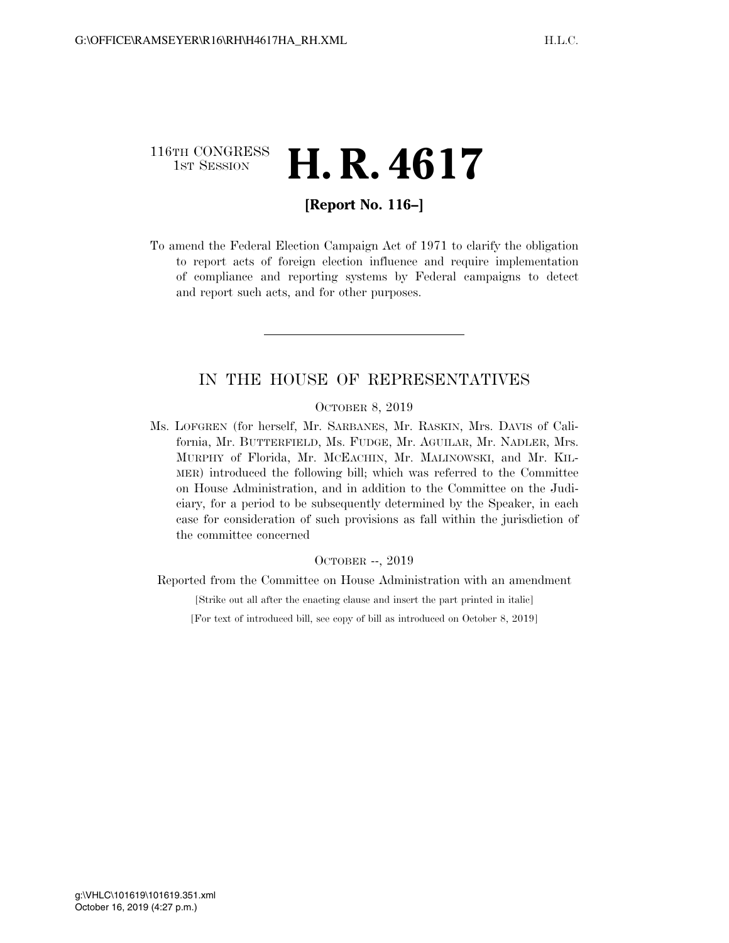# 116TH CONGRESS  $\frac{1}{15T}$  Session **H. R. 4617**

# **[Report No. 116–]**

To amend the Federal Election Campaign Act of 1971 to clarify the obligation to report acts of foreign election influence and require implementation of compliance and reporting systems by Federal campaigns to detect and report such acts, and for other purposes.

# IN THE HOUSE OF REPRESENTATIVES

OCTOBER 8, 2019

Ms. LOFGREN (for herself, Mr. SARBANES, Mr. RASKIN, Mrs. DAVIS of California, Mr. BUTTERFIELD, Ms. FUDGE, Mr. AGUILAR, Mr. NADLER, Mrs. MURPHY of Florida, Mr. MCEACHIN, Mr. MALINOWSKI, and Mr. KIL-MER) introduced the following bill; which was referred to the Committee on House Administration, and in addition to the Committee on the Judiciary, for a period to be subsequently determined by the Speaker, in each case for consideration of such provisions as fall within the jurisdiction of the committee concerned

#### OCTOBER --, 2019

Reported from the Committee on House Administration with an amendment

[Strike out all after the enacting clause and insert the part printed in italic]

[For text of introduced bill, see copy of bill as introduced on October 8, 2019]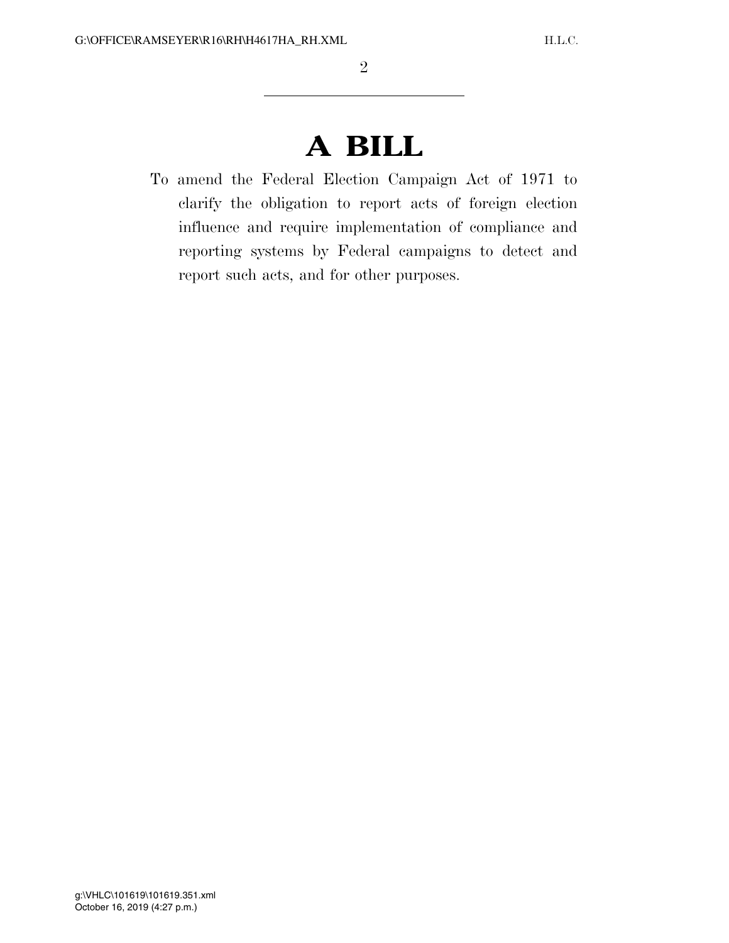# **A BILL**

To amend the Federal Election Campaign Act of 1971 to clarify the obligation to report acts of foreign election influence and require implementation of compliance and reporting systems by Federal campaigns to detect and report such acts, and for other purposes.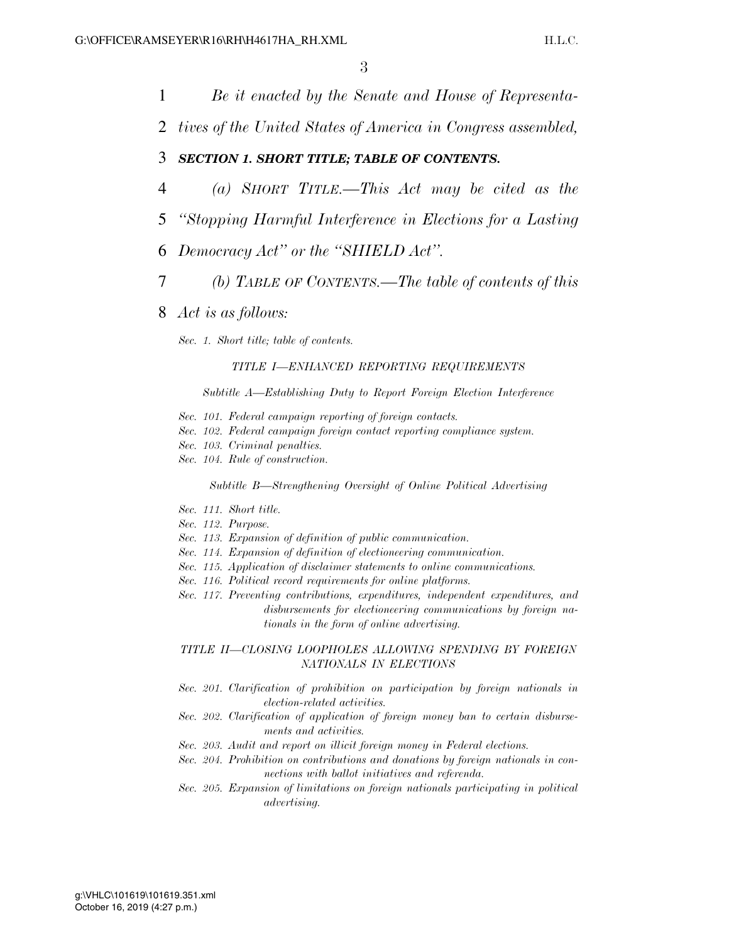1 *Be it enacted by the Senate and House of Representa-*

2 *tives of the United States of America in Congress assembled,* 

### 3 *SECTION 1. SHORT TITLE; TABLE OF CONTENTS.*

- 4 *(a) SHORT TITLE.—This Act may be cited as the*
- 5 *''Stopping Harmful Interference in Elections for a Lasting*
- 6 *Democracy Act'' or the ''SHIELD Act''.*
- 7 *(b) TABLE OF CONTENTS.—The table of contents of this*
- 8 *Act is as follows:*

*Sec. 1. Short title; table of contents.* 

#### *TITLE I—ENHANCED REPORTING REQUIREMENTS*

*Subtitle A—Establishing Duty to Report Foreign Election Interference* 

- *Sec. 101. Federal campaign reporting of foreign contacts.*
- *Sec. 102. Federal campaign foreign contact reporting compliance system.*
- *Sec. 103. Criminal penalties.*
- *Sec. 104. Rule of construction.*

*Subtitle B—Strengthening Oversight of Online Political Advertising* 

- *Sec. 111. Short title.*
- *Sec. 112. Purpose.*
- *Sec. 113. Expansion of definition of public communication.*
- *Sec. 114. Expansion of definition of electioneering communication.*
- *Sec. 115. Application of disclaimer statements to online communications.*
- *Sec. 116. Political record requirements for online platforms.*
- *Sec. 117. Preventing contributions, expenditures, independent expenditures, and disbursements for electioneering communications by foreign nationals in the form of online advertising.*

*TITLE II—CLOSING LOOPHOLES ALLOWING SPENDING BY FOREIGN NATIONALS IN ELECTIONS* 

- *Sec. 201. Clarification of prohibition on participation by foreign nationals in election-related activities.*
- *Sec. 202. Clarification of application of foreign money ban to certain disbursements and activities.*
- *Sec. 203. Audit and report on illicit foreign money in Federal elections.*
- *Sec. 204. Prohibition on contributions and donations by foreign nationals in connections with ballot initiatives and referenda.*
- *Sec. 205. Expansion of limitations on foreign nationals participating in political advertising.*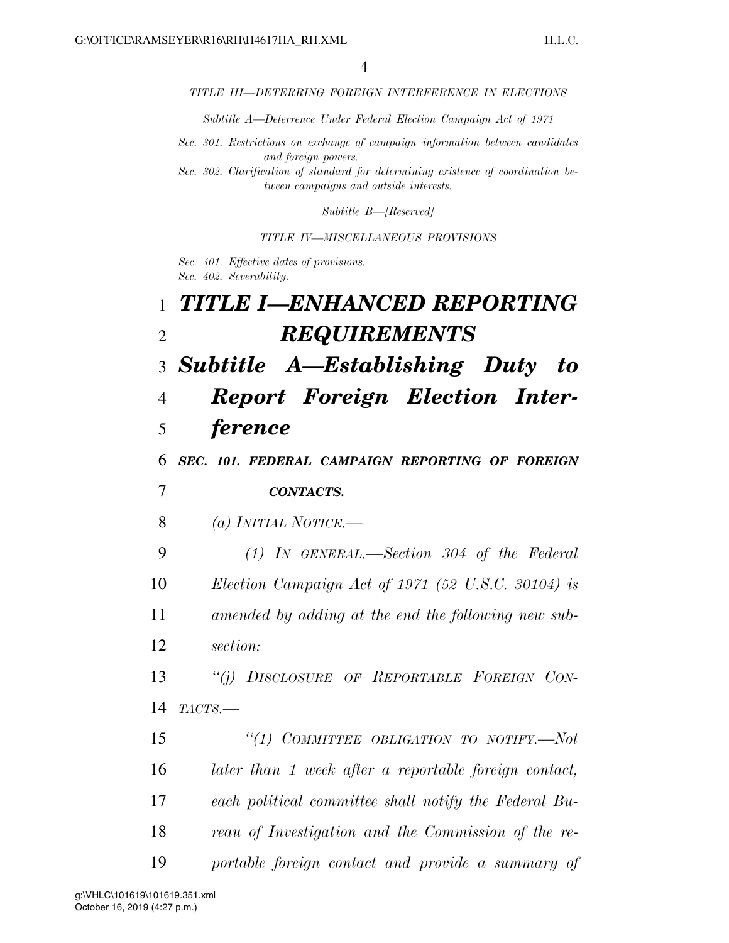#### *TITLE III—DETERRING FOREIGN INTERFERENCE IN ELECTIONS*

*Subtitle A—Deterrence Under Federal Election Campaign Act of 1971* 

*Sec. 301. Restrictions on exchange of campaign information between candidates and foreign powers.* 

*Sec. 302. Clarification of standard for determining existence of coordination between campaigns and outside interests.* 

*Subtitle B—[Reserved]* 

*TITLE IV—MISCELLANEOUS PROVISIONS* 

*Sec. 401. Effective dates of provisions. Sec. 402. Severability.* 

| $\mathbf{1}$   | TITLE I—ENHANCED REPORTING                            |
|----------------|-------------------------------------------------------|
| $\overline{2}$ | <b>REQUIREMENTS</b>                                   |
| 3              | <b>Subtitle A-Establishing Duty</b><br>to             |
| $\overline{4}$ | <b>Report Foreign Election Inter-</b>                 |
| 5              | <i>ference</i>                                        |
| 6              | SEC. 101. FEDERAL CAMPAIGN REPORTING OF FOREIGN       |
| 7              | <b>CONTACTS.</b>                                      |
| 8              | (a) INITIAL NOTICE.—                                  |
| 9              | $(1)$ IN GENERAL.—Section 304 of the Federal          |
| 10             | Election Campaign Act of 1971 (52 U.S.C. 30104) is    |
| 11             | amended by adding at the end the following new sub-   |
| 12             | section:                                              |
| 13             | "(j) DISCLOSURE OF REPORTABLE FOREIGN CON-            |
| 14             | TACTS.                                                |
| 15             | "(1) COMMITTEE OBLIGATION TO NOTIFY.-Not              |
| 16             | later than 1 week after a reportable foreign contact, |
| 17             | each political committee shall notify the Federal Bu- |
| 18             | reau of Investigation and the Commission of the re-   |
| 19             | portable foreign contact and provide a summary of     |

October 16, 2019 (4:27 p.m.) g:\VHLC\101619\101619.351.xml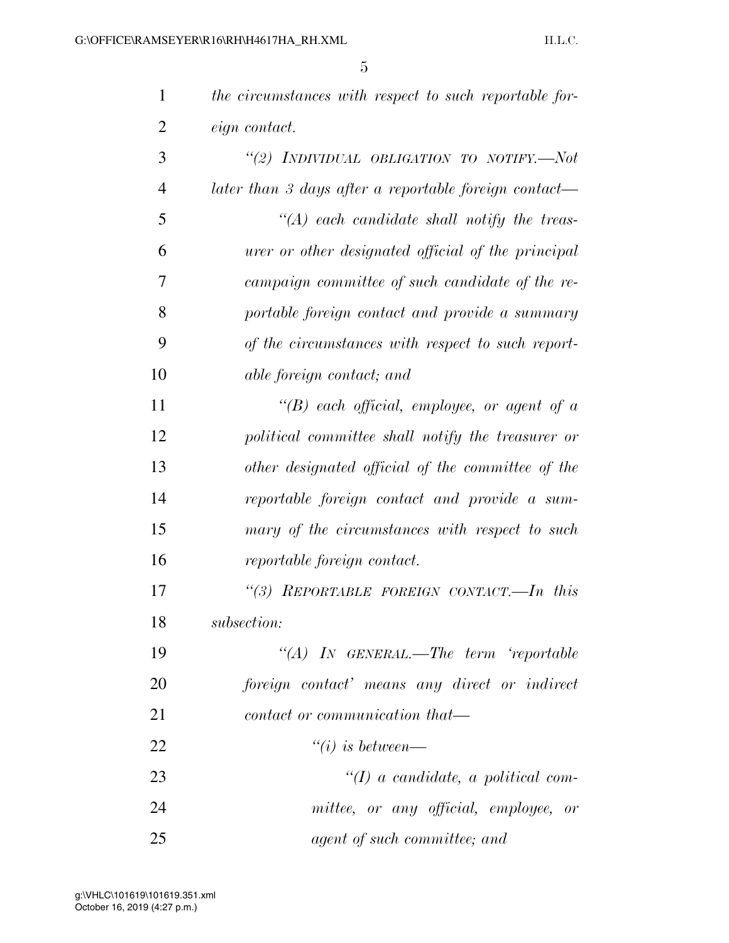| $\mathbf{1}$   | the circumstances with respect to such reportable for- |
|----------------|--------------------------------------------------------|
| $\overline{2}$ | <i>eign</i> contact.                                   |
| 3              | "(2) INDIVIDUAL OBLIGATION TO NOTIFY.-Not              |
| $\overline{4}$ | later than 3 days after a reportable foreign contact—  |
| 5              | $\lq (A)$ each candidate shall notify the treas-       |
| 6              | urer or other designated official of the principal     |
| 7              | campaign committee of such candidate of the re-        |
| 8              | portable foreign contact and provide a summary         |
| 9              | of the circumstances with respect to such report-      |
| 10             | able foreign contact; and                              |
| 11             | "(B) each official, employee, or agent of a            |
| 12             | political committee shall notify the treasurer or      |
| 13             | other designated official of the committee of the      |
| 14             | reportable foreign contact and provide a sum-          |
| 15             | mary of the circumstances with respect to such         |
| 16             | reportable foreign contact.                            |
| 17             | "(3) REPORTABLE FOREIGN CONTACT.-In this               |
| 18             | subsection:                                            |
| 19             | "(A) IN GENERAL.—The term 'reportable                  |
| 20             | foreign contact' means any direct or indirect          |
| 21             | contact or communication that—                         |
| 22             | $``(i)$ is between—                                    |
| 23             | $\lq (I)$ a candidate, a political com-                |
| 24             | mittee, or any official, employee, or                  |
| 25             | agent of such committee; and                           |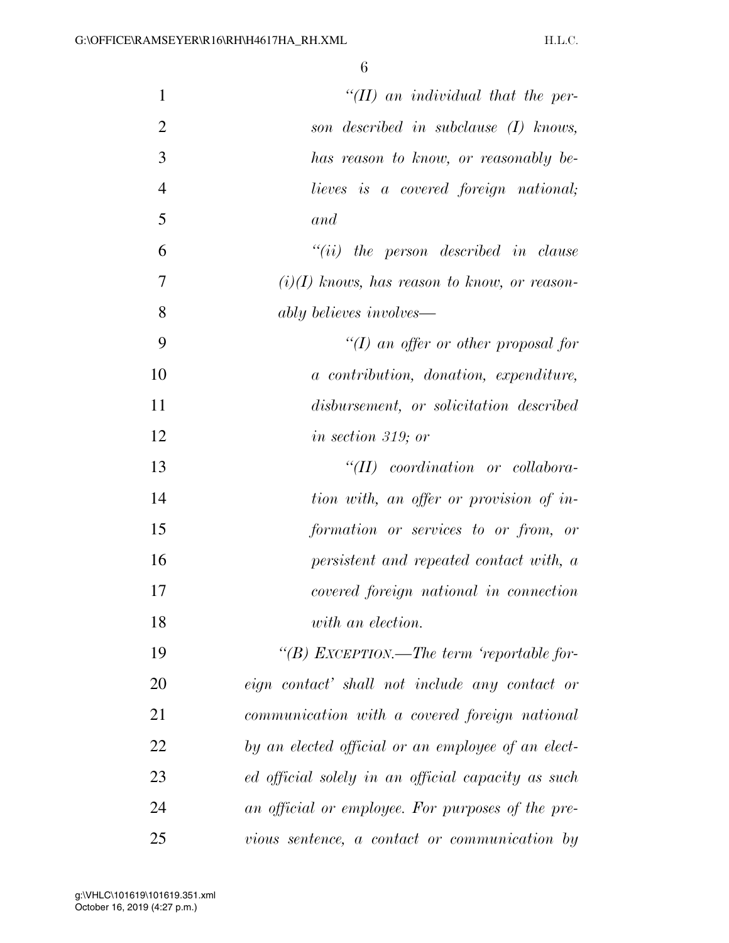| 1              | $H(H)$ an individual that the per-                 |
|----------------|----------------------------------------------------|
| $\overline{2}$ | son described in subclause (I) knows,              |
| 3              | has reason to know, or reasonably be-              |
| $\overline{4}$ | lieves is a covered foreign national;              |
| 5              | and                                                |
| 6              | $``(ii)$ the person described in clause            |
| 7              | $(i)(I)$ knows, has reason to know, or reason-     |
| 8              | ably believes involves—                            |
| 9              | "(I) an offer or other proposal for                |
| 10             | a contribution, donation, expenditure,             |
| 11             | disbursement, or solicitation described            |
| 12             | <i>in section 319; or</i>                          |
| 13             | $``(II)$ coordination or collabora-                |
| 14             | tion with, an offer or provision of in-            |
| 15             | formation or services to or from, or               |
| 16             | persistent and repeated contact with, a            |
| 17             | covered foreign national in connection             |
| 18             | with an election.                                  |
| 19             | "(B) EXCEPTION.—The term 'reportable for-          |
| 20             | eign contact' shall not include any contact or     |
| 21             | communication with a covered foreign national      |
| 22             | by an elected official or an employee of an elect- |
| 23             | ed official solely in an official capacity as such |
| 24             | an official or employee. For purposes of the pre-  |
| 25             | vious sentence, a contact or communication by      |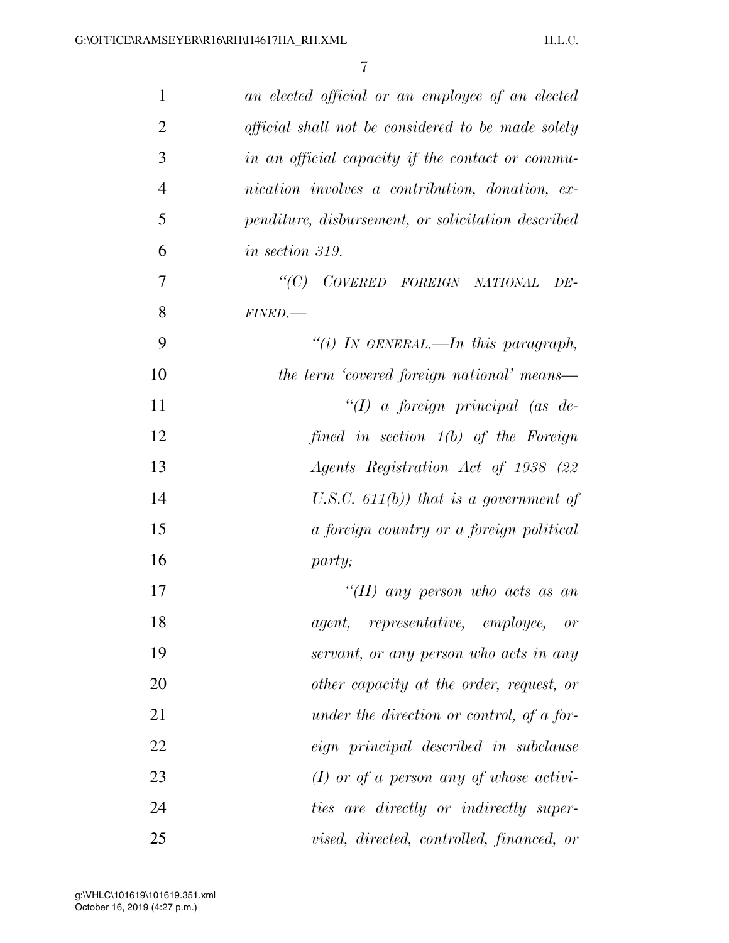| $\mathbf 1$    | an elected official or an employee of an elected   |
|----------------|----------------------------------------------------|
| $\overline{2}$ | official shall not be considered to be made solely |
| 3              | in an official capacity if the contact or commu-   |
| $\overline{4}$ | nication involves a contribution, donation, ex-    |
| 5              | penditure, disbursement, or solicitation described |
| 6              | <i>in section 319.</i>                             |
| 7              | "(C) COVERED FOREIGN NATIONAL<br>DE-               |
| 8              | FINED.                                             |
| 9              | "(i) IN GENERAL.—In this paragraph,                |
| 10             | the term 'covered foreign national' means—         |
| 11             | $``(1)$ a foreign principal (as de-                |
| 12             | fined in section $1(b)$ of the Foreign             |
| 13             | Agents Registration Act of 1938 (22                |
| 14             | U.S.C. $611(b)$ that is a government of            |
| 15             | a foreign country or a foreign political           |
| 16             | party;                                             |
| 17             | "(II) any person who acts as an                    |
| 18             | agent, representative, employee, or                |
| 19             | servant, or any person who acts in any             |
| 20             | other capacity at the order, request, or           |
| 21             | under the direction or control, of a for-          |
| 22             | eign principal described in subclause              |
| 23             | $(I)$ or of a person any of whose activi-          |
| 24             | ties are directly or indirectly super-             |
| 25             | vised, directed, controlled, financed, or          |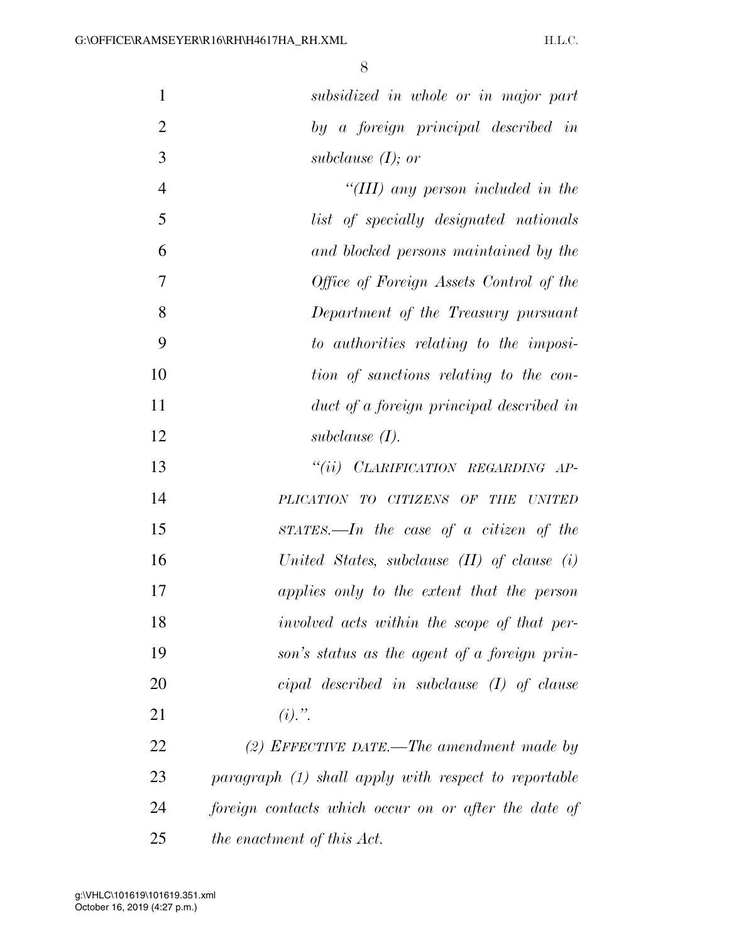| $\mathbf{1}$   | subsidized in whole or in major part                 |
|----------------|------------------------------------------------------|
| $\overline{2}$ | by a foreign principal described in                  |
| 3              | subclause $(I)$ ; or                                 |
| $\overline{4}$ | "(III) any person included in the                    |
| 5              | list of specially designated nationals               |
| 6              | and blocked persons maintained by the                |
| $\overline{7}$ | Office of Foreign Assets Control of the              |
| 8              | Department of the Treasury pursuant                  |
| 9              | to authorities relating to the imposi-               |
| 10             | tion of sanctions relating to the con-               |
| 11             | duct of a foreign principal described in             |
| 12             | subclause $(I)$ .                                    |
| 13             | "(ii) CLARIFICATION REGARDING AP-                    |
| 14             | PLICATION TO CITIZENS OF THE UNITED                  |
| 15             | $STATES. — In the case of a citizen of the$          |
| 16             | United States, subclause $(II)$ of clause $(i)$      |
| 17             | applies only to the extent that the person           |
| 18             | involved acts within the scope of that per-          |
| 19             | son's status as the agent of a foreign prin-         |
| 20             | $cipal$ described in subclause $(I)$ of clause       |
| 21             | $(i)$ .".                                            |
| 22             | (2) EFFECTIVE DATE.—The amendment made by            |
| 23             | paragraph (1) shall apply with respect to reportable |
| 24             | foreign contacts which occur on or after the date of |
| 25             | the enactment of this Act.                           |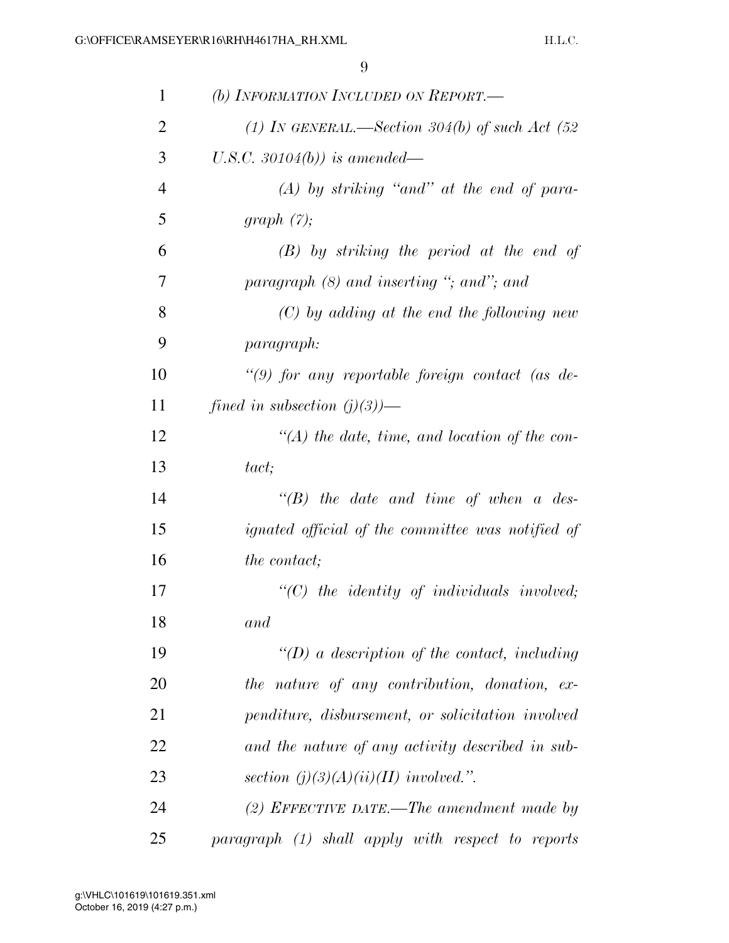| $\mathbf{1}$   | (b) INFORMATION INCLUDED ON REPORT.                |
|----------------|----------------------------------------------------|
| $\overline{2}$ | (1) IN GENERAL.—Section 304(b) of such Act $(52)$  |
| 3              | U.S.C. 30104(b)) is amended—                       |
| $\overline{4}$ | $(A)$ by striking "and" at the end of para-        |
| 5              | graph $(7)$ ;                                      |
| 6              | $(B)$ by striking the period at the end of         |
| 7              | paragraph $(8)$ and inserting "; and"; and         |
| 8              | $(C)$ by adding at the end the following new       |
| 9              | paragraph:                                         |
| 10             | "(9) for any reportable foreign contact (as $de$ - |
| 11             | fined in subsection $(j)(3)$ )—                    |
| 12             | $\lq (A)$ the date, time, and location of the con- |
| 13             | tact;                                              |
| 14             | $\lq\lq B$ the date and time of when a des-        |
| 15             | ignated official of the committee was notified of  |
| 16             | <i>the contact</i> ;                               |
| 17             | $"(C)$ the identity of individuals involved;       |
| 18             | and                                                |
| 19             | $\lq (D)$ a description of the contact, including  |
| 20             | the nature of any contribution, donation, ex-      |
| 21             | penditure, disbursement, or solicitation involved  |
| 22             | and the nature of any activity described in sub-   |
| 23             | section $(j)(3)(A)(ii)(II)$ involved.".            |
| 24             | (2) EFFECTIVE DATE.—The amendment made by          |
| 25             | paragraph (1) shall apply with respect to reports  |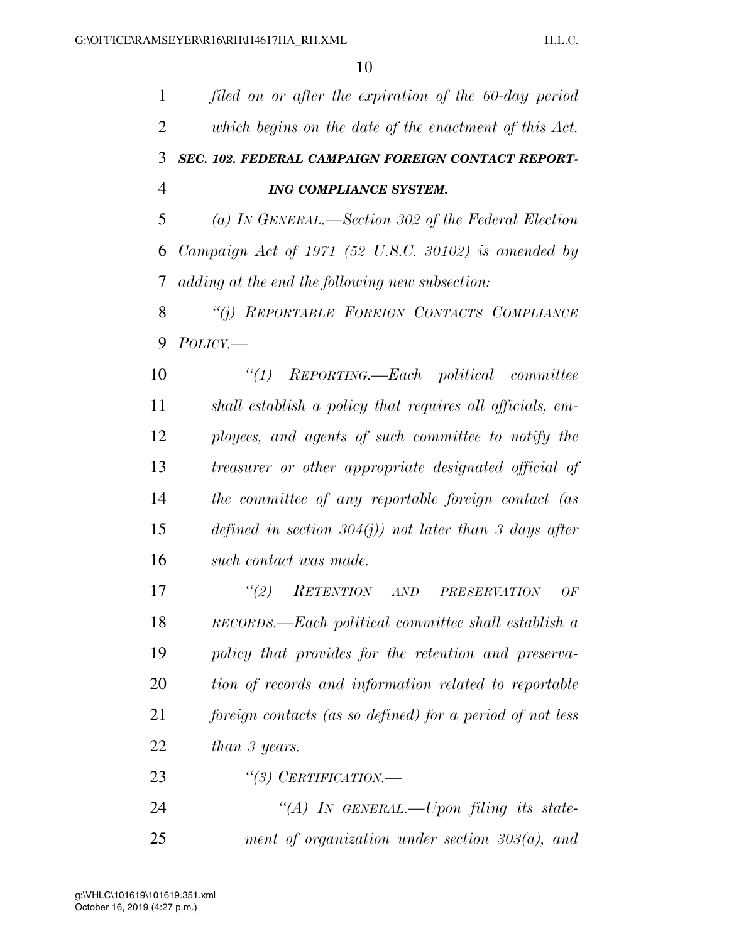*filed on or after the expiration of the 60-day period which begins on the date of the enactment of this Act. SEC. 102. FEDERAL CAMPAIGN FOREIGN CONTACT REPORT- ING COMPLIANCE SYSTEM. (a) IN GENERAL.—Section 302 of the Federal Election Campaign Act of 1971 (52 U.S.C. 30102) is amended by adding at the end the following new subsection: ''(j) REPORTABLE FOREIGN CONTACTS COMPLIANCE POLICY.— ''(1) REPORTING.—Each political committee shall establish a policy that requires all officials, em- ployees, and agents of such committee to notify the treasurer or other appropriate designated official of the committee of any reportable foreign contact (as defined in section 304(j)) not later than 3 days after such contact was made. ''(2) RETENTION AND PRESERVATION OF RECORDS.—Each political committee shall establish a policy that provides for the retention and preserva- tion of records and information related to reportable foreign contacts (as so defined) for a period of not less than 3 years. ''(3) CERTIFICATION.— ''(A) IN GENERAL.—Upon filing its state-ment of organization under section 303(a), and*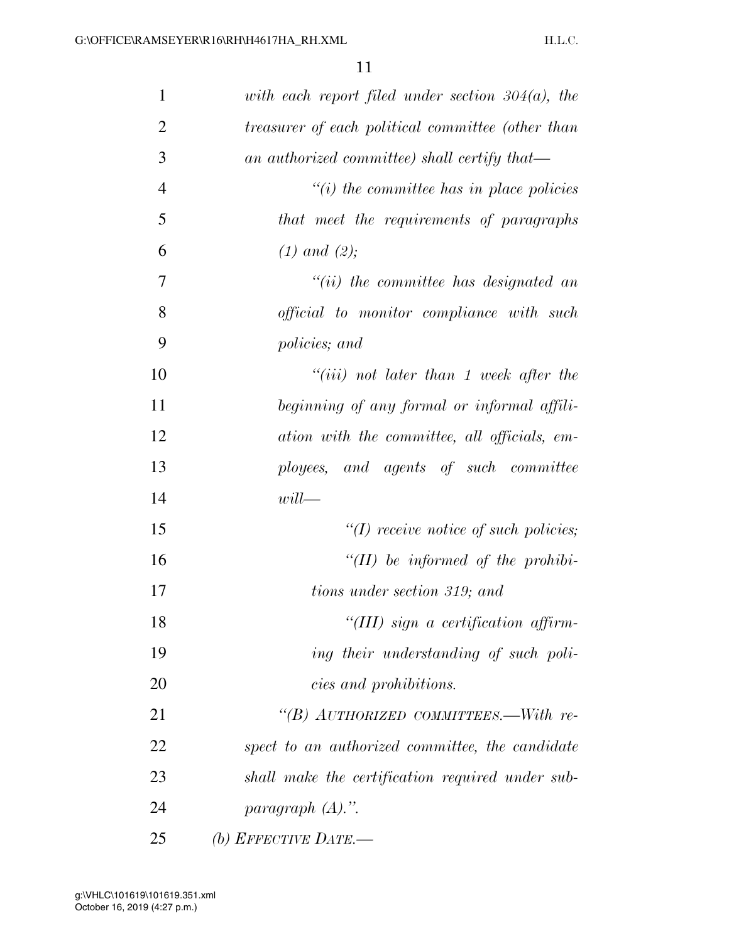| $\mathbf{1}$   | with each report filed under section $304(a)$ , the |
|----------------|-----------------------------------------------------|
| $\overline{2}$ | treasurer of each political committee (other than   |
| 3              | an authorized committee) shall certify that—        |
| $\overline{4}$ | $\lq\lq(i)$ the committee has in place policies     |
| 5              | that meet the requirements of paragraphs            |
| 6              | $(1)$ and $(2)$ ;                                   |
| 7              | $``(ii)$ the committee has designated an            |
| 8              | <i>official to monitor compliance with such</i>     |
| 9              | policies; and                                       |
| 10             | $``(iii)$ not later than 1 week after the           |
| 11             | beginning of any formal or informal affili-         |
| 12             | ation with the committee, all officials, em-        |
| 13             | ployees, and agents of such committee               |
| 14             | $will$ —                                            |
| 15             | $\lq (I)$ receive notice of such policies;          |
| 16             | "(II) be informed of the prohibi-                   |
| 17             | tions under section 319; and                        |
| 18             | "(III) sign a certification affirm-                 |
| 19             | ing their understanding of such poli-               |
| 20             | cies and prohibitions.                              |
| 21             | "(B) AUTHORIZED COMMITTEES.—With re-                |
| 22             | spect to an authorized committee, the candidate     |
| 23             | shall make the certification required under sub-    |
| 24             | paragraph $(A)$ .".                                 |
| 25             | (b) EFFECTIVE DATE.—                                |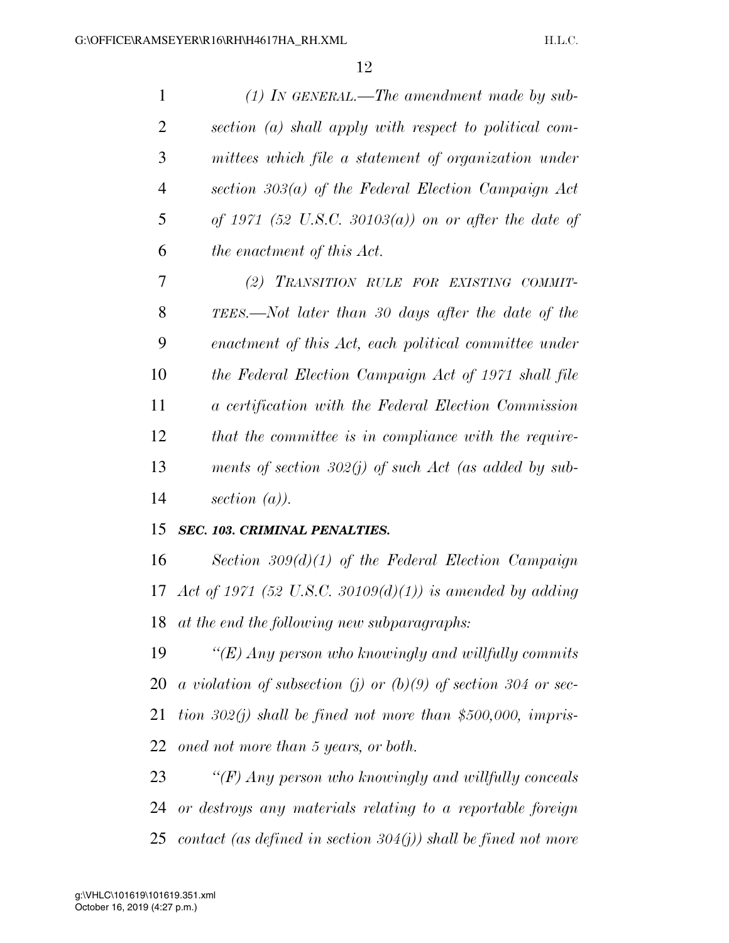| $\mathbf{1}$ | $(1)$ IN GENERAL.—The amendment made by sub-                   |
|--------------|----------------------------------------------------------------|
| 2            | section (a) shall apply with respect to political com-         |
| 3            | mittees which file a statement of organization under           |
| 4            | section $303(a)$ of the Federal Election Campaign Act          |
| 5            | of 1971 (52 U.S.C. 30103(a)) on or after the date of           |
| 6            | the enactment of this Act.                                     |
| 7            | (2) TRANSITION RULE FOR EXISTING COMMIT-                       |
| 8            | TEES.—Not later than 30 days after the date of the             |
| 9            | enactment of this Act, each political committee under          |
| 10           | the Federal Election Campaign Act of 1971 shall file           |
| 11           | a certification with the Federal Election Commission           |
| 12           | that the committee is in compliance with the require-          |
| 13           | ments of section $302(j)$ of such Act (as added by sub-        |
| 14           | section $(a)$ ).                                               |
| 15           | <b>SEC. 103. CRIMINAL PENALTIES.</b>                           |
| 16           | Section $309(d)(1)$ of the Federal Election Campaign           |
| 17           | Act of 1971 (52 U.S.C. 30109(d)(1)) is amended by adding       |
| 18           | at the end the following new subparagraphs:                    |
| 19           | " $(E)$ Any person who knowingly and willfully commits         |
| 20           | a violation of subsection (j) or (b)(9) of section 304 or sec- |
| 21           | tion $302(j)$ shall be fined not more than \$500,000, impris-  |
| 22           | oned not more than 5 years, or both.                           |
| 23           | $\lq (F)$ Any person who knowingly and willfully conceals      |
| 24           | or destroys any materials relating to a reportable foreign     |
|              |                                                                |

*contact (as defined in section 304(j)) shall be fined not more*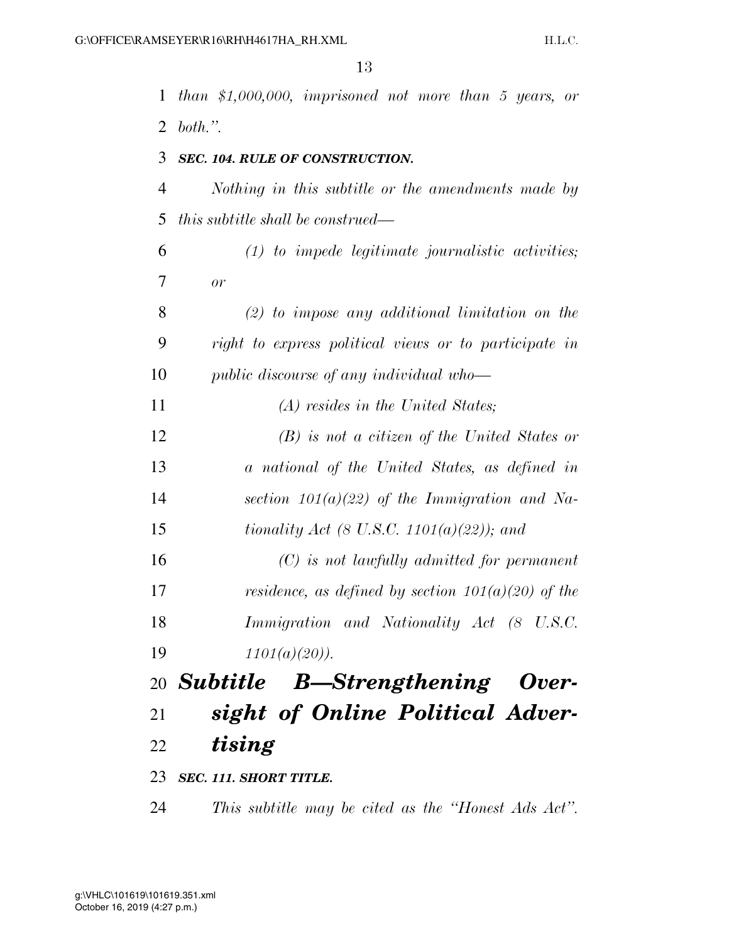| 1  | than \$1,000,000, imprisoned not more than 5 years, or |
|----|--------------------------------------------------------|
| 2  | both.".                                                |
| 3  | <b>SEC. 104. RULE OF CONSTRUCTION.</b>                 |
| 4  | Nothing in this subtitle or the amendments made by     |
| 5  | <i>this subtitle shall be construed—</i>               |
| 6  | $(1)$ to impede legitimate journalistic activities;    |
| 7  | or                                                     |
| 8  | $(2)$ to impose any additional limitation on the       |
| 9  | right to express political views or to participate in  |
| 10 | public discourse of any individual who-                |
| 11 | (A) resides in the United States;                      |
| 12 | $(B)$ is not a citizen of the United States or         |
| 13 | a national of the United States, as defined in         |
| 14 | section $101(a)(22)$ of the Immigration and Na-        |
| 15 | <i>tionality Act (8 U.S.C. 1101(a)(22)); and</i>       |
| 16 | $(C)$ is not lawfully admitted for permanent           |
| 17 | residence, as defined by section $101(a)(20)$ of the   |
| 18 | Immigration and Nationality Act (8 U.S.C.              |
| 19 | $1101(a)(20)$ ).                                       |
|    | 20 Subtitle B—Strengthening Over-                      |
| 21 | sight of Online Political Adver-                       |
| 22 | tising                                                 |
|    | 23 SEC. 111. SHORT TITLE.                              |
| 24 | This subtitle may be cited as the "Honest Ads Act".    |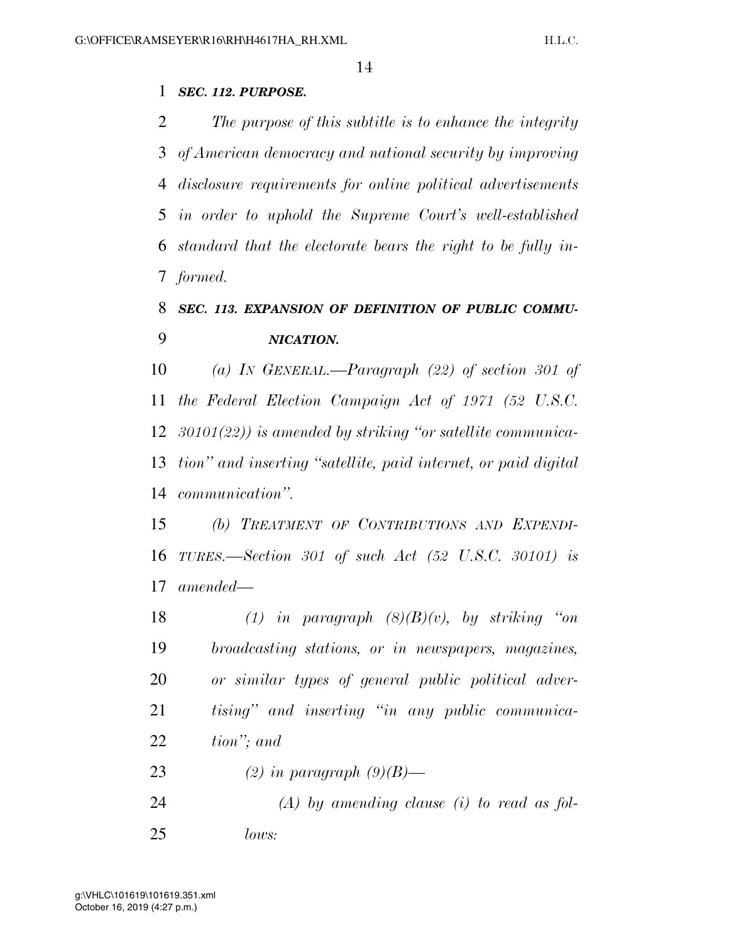## *SEC. 112. PURPOSE.*

 *The purpose of this subtitle is to enhance the integrity of American democracy and national security by improving disclosure requirements for online political advertisements in order to uphold the Supreme Court's well-established standard that the electorate bears the right to be fully in-formed.* 

# *SEC. 113. EXPANSION OF DEFINITION OF PUBLIC COMMU-NICATION.*

 *(a) IN GENERAL.—Paragraph (22) of section 301 of the Federal Election Campaign Act of 1971 (52 U.S.C. 30101(22)) is amended by striking ''or satellite communica- tion'' and inserting ''satellite, paid internet, or paid digital communication''.* 

 *(b) TREATMENT OF CONTRIBUTIONS AND EXPENDI- TURES.—Section 301 of such Act (52 U.S.C. 30101) is amended—* 

 *(1) in paragraph (8)(B)(v), by striking ''on broadcasting stations, or in newspapers, magazines, or similar types of general public political adver- tising'' and inserting ''in any public communica-tion''; and* 

- *(2) in paragraph (9)(B)—*
- *(A) by amending clause (i) to read as fol-lows:*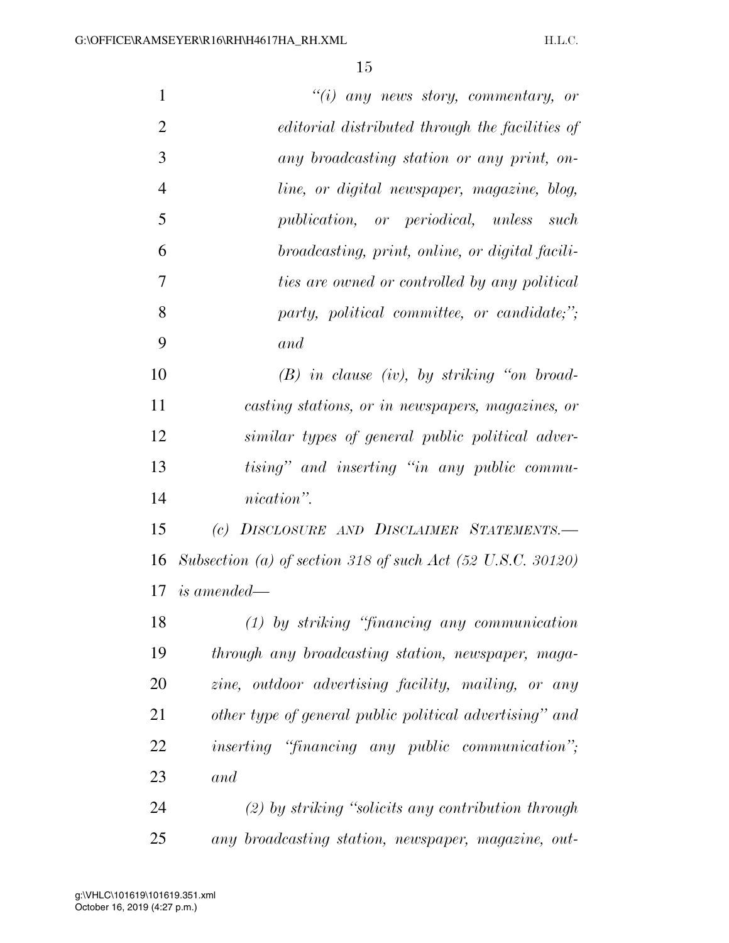| $\mathbf{1}$   | $"(i)$ any news story, commentary, or                                  |
|----------------|------------------------------------------------------------------------|
| $\overline{2}$ | editorial distributed through the facilities of                        |
| 3              | any broadcasting station or any print, on-                             |
| $\overline{4}$ | line, or digital newspaper, magazine, blog,                            |
| 5              | publication, or periodical, unless such                                |
| 6              | broadcasting, print, online, or digital facili-                        |
| 7              | ties are owned or controlled by any political                          |
| 8              | party, political committee, or candidate;";                            |
| 9              | and                                                                    |
| 10             | $(B)$ in clause (iv), by striking "on broad-                           |
| 11             | casting stations, or in newspapers, magazines, or                      |
| 12             | similar types of general public political adver-                       |
| 13             | tising" and inserting "in any public commu-                            |
| 14             | nication".                                                             |
| 15             | (c) DISCLOSURE AND DISCLAIMER STATEMENTS.-                             |
| 16             | Subsection (a) of section 318 of such Act $(52 \text{ U.S.C. } 30120)$ |
| 17             | <i>is amended—</i>                                                     |
| 18             | $(1)$ by striking "financing any communication"                        |
| 19             | through any broadcasting station, newspaper, maga-                     |
| 20             | zine, outdoor advertising facility, mailing, or any                    |
| 21             | other type of general public political advertising" and                |
| 22             | <i>inserting</i> " <i>financing any public communication</i> ";        |
| 23             | and                                                                    |
| 24             | $(2)$ by striking "solicits any contribution through                   |
| 25             | any broadcasting station, newspaper, magazine, out-                    |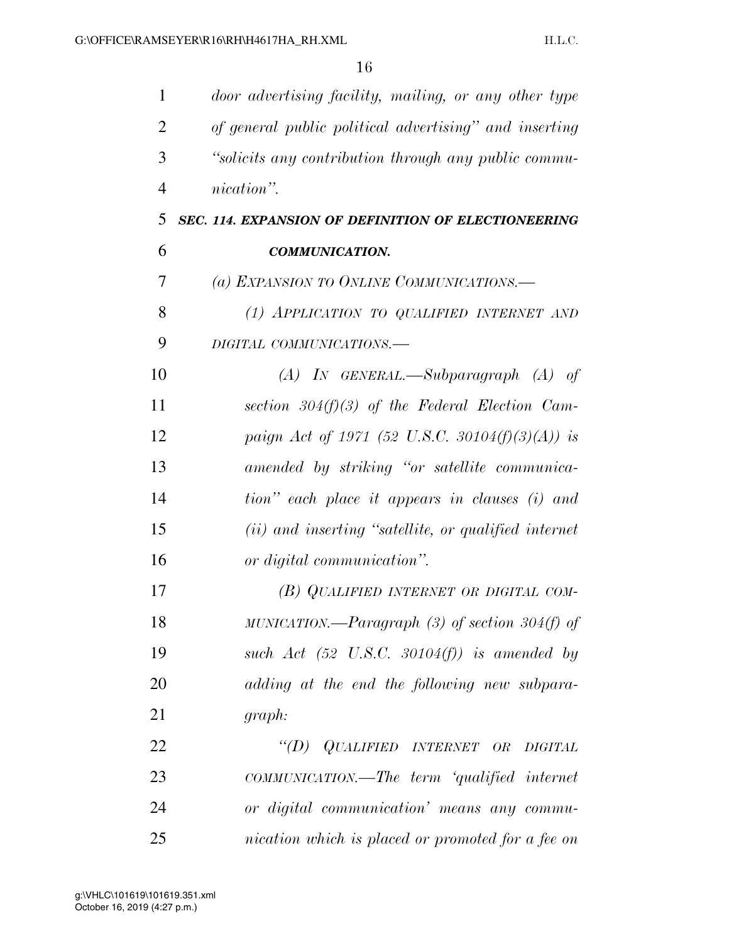| 1              | door advertising facility, mailing, or any other type  |
|----------------|--------------------------------------------------------|
| $\overline{2}$ | of general public political advertising" and inserting |
| 3              | "solicits any contribution through any public commu-   |
| $\overline{4}$ | nication".                                             |
| 5              | SEC. 114. EXPANSION OF DEFINITION OF ELECTIONEERING    |
| 6              | <b>COMMUNICATION.</b>                                  |
| 7              | (a) EXPANSION TO ONLINE COMMUNICATIONS.—               |
| 8              | (1) APPLICATION TO QUALIFIED INTERNET AND              |
| 9              | DIGITAL COMMUNICATIONS.-                               |
| 10             | $(A)$ In GENERAL.—Subparagraph $(A)$ of                |
| 11             | section 304(f)(3) of the Federal Election Cam-         |
| 12             | paign Act of 1971 (52 U.S.C. 30104(f)(3)(A)) is        |
| 13             | amended by striking "or satellite communica-           |
| 14             | tion" each place it appears in clauses (i) and         |
| 15             | (ii) and inserting "satellite, or qualified internet   |
| 16             | or digital communication".                             |
| 17             | (B) QUALIFIED INTERNET OR DIGITAL COM-                 |
| 18             | MUNICATION.—Paragraph $(3)$ of section 304(f) of       |
| 19             | such Act $(52 \text{ U.S.C. } 30104(f))$ is amended by |
| 20             | adding at the end the following new subpara-           |
| 21             | graph:                                                 |
| 22             | "(D) QUALIFIED INTERNET OR<br><b>DIGITAL</b>           |
| 23             | COMMUNICATION.—The term 'qualified internet            |
| 24             | or digital communication' means any commu-             |
| 25             | nication which is placed or promoted for a fee on      |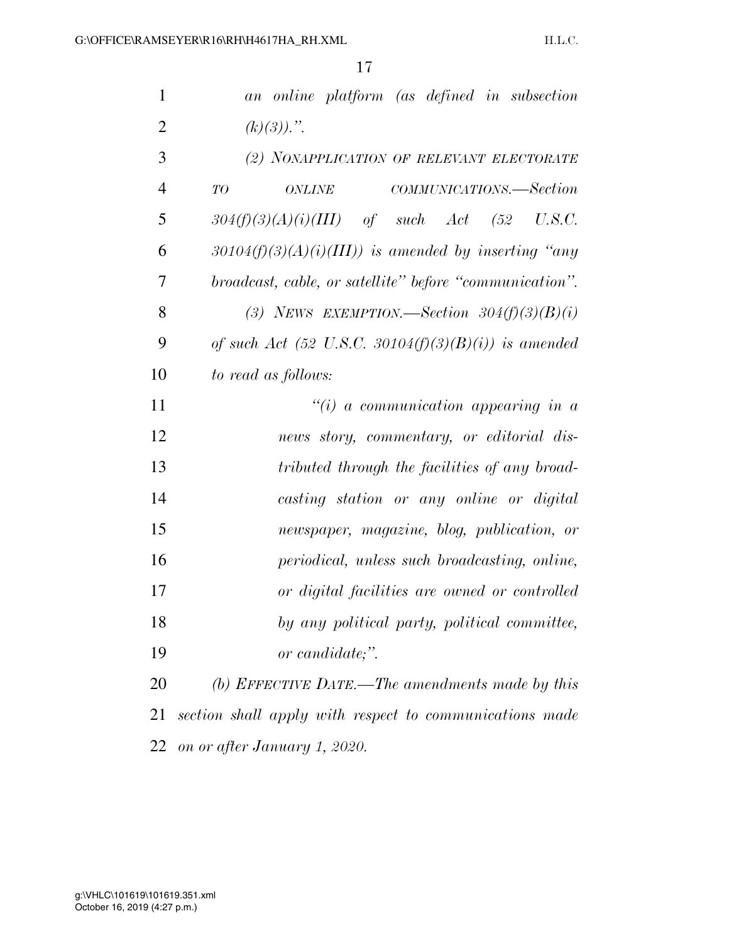| $\mathbf{1}$   | an online platform (as defined in subsection            |
|----------------|---------------------------------------------------------|
| $\overline{2}$ | $(k)(3))$ .".                                           |
| 3              | (2) NONAPPLICATION OF RELEVANT ELECTORATE               |
| $\overline{4}$ | COMMUNICATIONS.—Section<br>TO<br><b>ONLINE</b>          |
| 5              | $304(f)(3)(A)(i)(III)$ of such Act (52 U.S.C.           |
| 6              | $30104(f)(3)(A)(i)(III)$ is amended by inserting "any   |
| 7              | broadcast, cable, or satellite" before "communication". |
| 8              | (3) NEWS EXEMPTION. Section $304(f)(3)(B)(i)$           |
| 9              | of such Act (52 U.S.C. 30104(f)(3)(B)(i)) is amended    |
| 10             | to read as follows:                                     |
| 11             | $\tilde{u}(i)$ a communication appearing in a           |
| 12             | news story, commentary, or editorial dis-               |
| 13             | tributed through the facilities of any broad-           |
| 14             | casting station or any online or digital                |
| 15             | newspaper, magazine, blog, publication, or              |
| 16             | periodical, unless such broadcasting, online,           |
| 17             | or digital facilities are owned or controlled           |
| 18             | by any political party, political committee,            |
| 19             | or candidate;".                                         |
| 20             | (b) EFFECTIVE DATE.—The amendments made by this         |
| 21             | section shall apply with respect to communications made |
| 22             | on or after January 1, 2020.                            |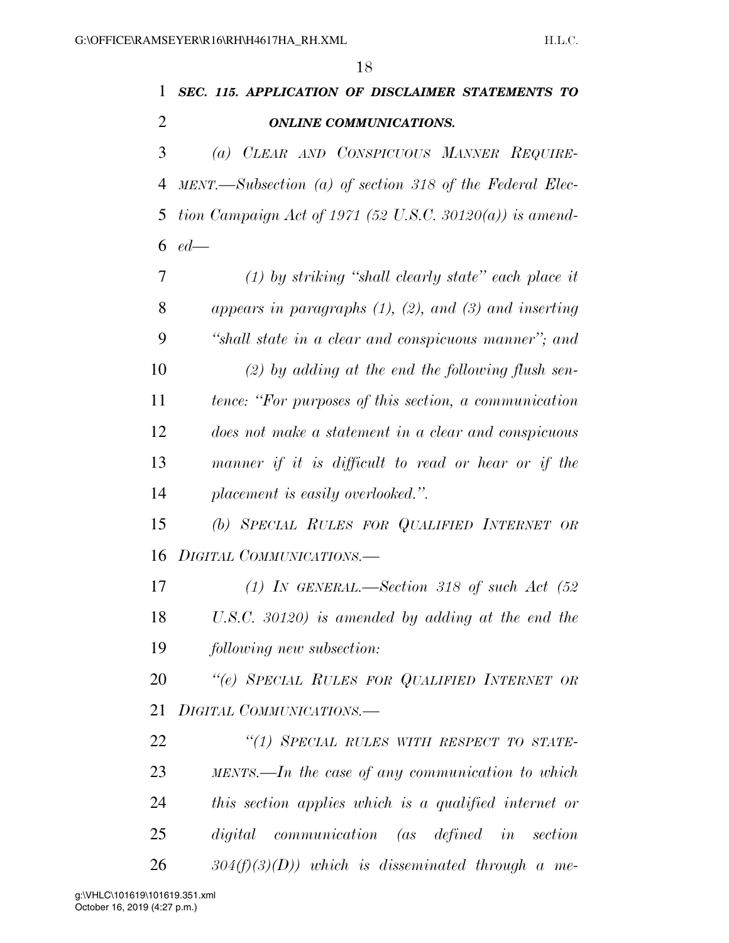$\overline{18}$ 

|                | 18                                                            |
|----------------|---------------------------------------------------------------|
| 1              | SEC. 115. APPLICATION OF DISCLAIMER STATEMENTS TO             |
| $\overline{2}$ | <b>ONLINE COMMUNICATIONS.</b>                                 |
| 3              | (a) CLEAR AND CONSPICUOUS MANNER REQUIRE-                     |
| 4              | MENT.—Subsection (a) of section 318 of the Federal Elec-      |
| 5              | tion Campaign Act of 1971 (52 U.S.C. 30120(a)) is amend-      |
| 6              | $ed$ —                                                        |
| 7              | $(1)$ by striking "shall clearly state" each place it         |
| 8              | appears in paragraphs $(1)$ , $(2)$ , and $(3)$ and inserting |
| 9              | "shall state in a clear and conspicuous manner"; and          |
| 10             | $(2)$ by adding at the end the following flush sen-           |
| 11             | tence: "For purposes of this section, a communication         |
| 12             | does not make a statement in a clear and conspicuous          |
| 13             | manner if it is difficult to read or hear or if the           |
| 14             | placement is easily overlooked.".                             |
| 15             | (b) SPECIAL RULES FOR QUALIFIED INTERNET OR                   |
| 16             | DIGITAL COMMUNICATIONS.-                                      |
| 17             | (1) IN GENERAL.—Section 318 of such Act $(52)$                |
| 18             | U.S.C. 30120) is amended by adding at the end the             |
| 19             | following new subsection:                                     |
| 20             | "(e) SPECIAL RULES FOR QUALIFIED INTERNET OR                  |
| 21             | DIGITAL COMMUNICATIONS.-                                      |
| 22             | "(1) SPECIAL RULES WITH RESPECT TO STATE-                     |
| 23             | $MENTS.$ —In the case of any communication to which           |
| 24             | this section applies which is a qualified internet or         |
| 25             | digital communication (as defined in<br>section               |

*304(f)(3)(D)) which is disseminated through a me-*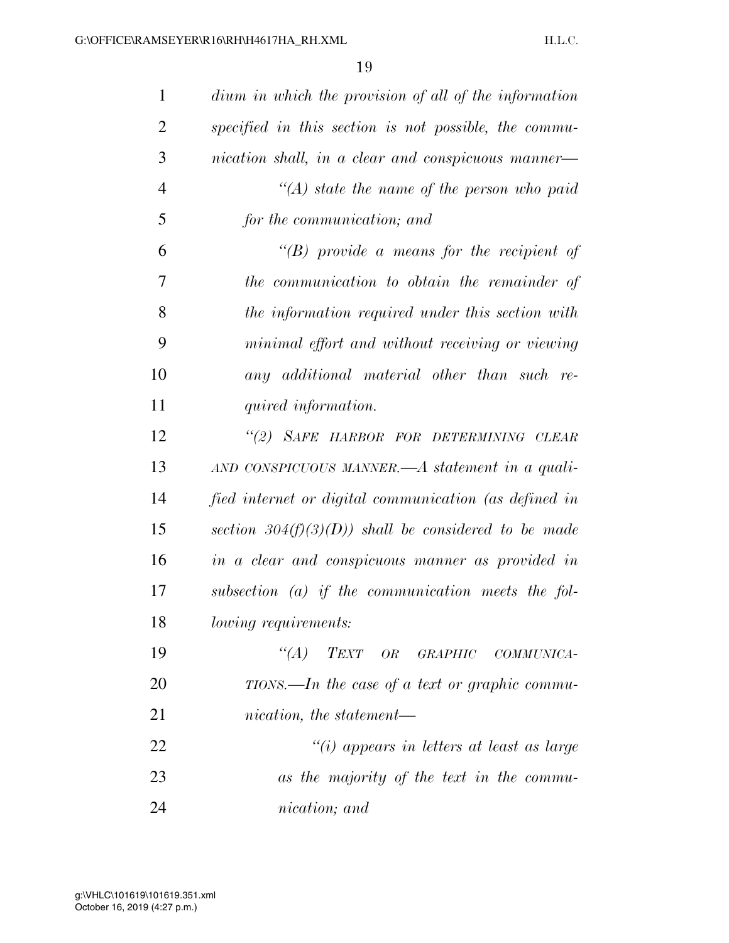| $\mathbf{1}$   | dium in which the provision of all of the information |
|----------------|-------------------------------------------------------|
| $\overline{2}$ | specified in this section is not possible, the commu- |
| 3              | nication shall, in a clear and conspicuous manner—    |
| $\overline{4}$ | $\lq (A)$ state the name of the person who paid       |
| 5              | for the communication; and                            |
| 6              | $\lq\lq(B)$ provide a means for the recipient of      |
| 7              | the communication to obtain the remainder of          |
| 8              | the information required under this section with      |
| 9              | minimal effort and without receiving or viewing       |
| 10             | any additional material other than such re-           |
| 11             | quired information.                                   |
| 12             | "(2) SAFE HARBOR FOR DETERMINING CLEAR                |
| 13             | AND CONSPICUOUS MANNER.— $A$ statement in a quali-    |
| 14             | fied internet or digital communication (as defined in |
| 15             | section $304(f)(3)(D)$ shall be considered to be made |
| 16             | in a clear and conspicuous manner as provided in      |
| 17             | $subsection$ (a) if the communication meets the fol-  |
| 18             | lowing requirements:                                  |
| 19             | "(A) TEXT OR GRAPHIC COMMUNICA-                       |
| 20             | $TIONS.$ —In the case of a text or graphic commu-     |
| 21             | nication, the statement-                              |
| 22             | "(i) appears in letters at least as large             |
| 23             | as the majority of the text in the commu-             |
| 24             | nication; and                                         |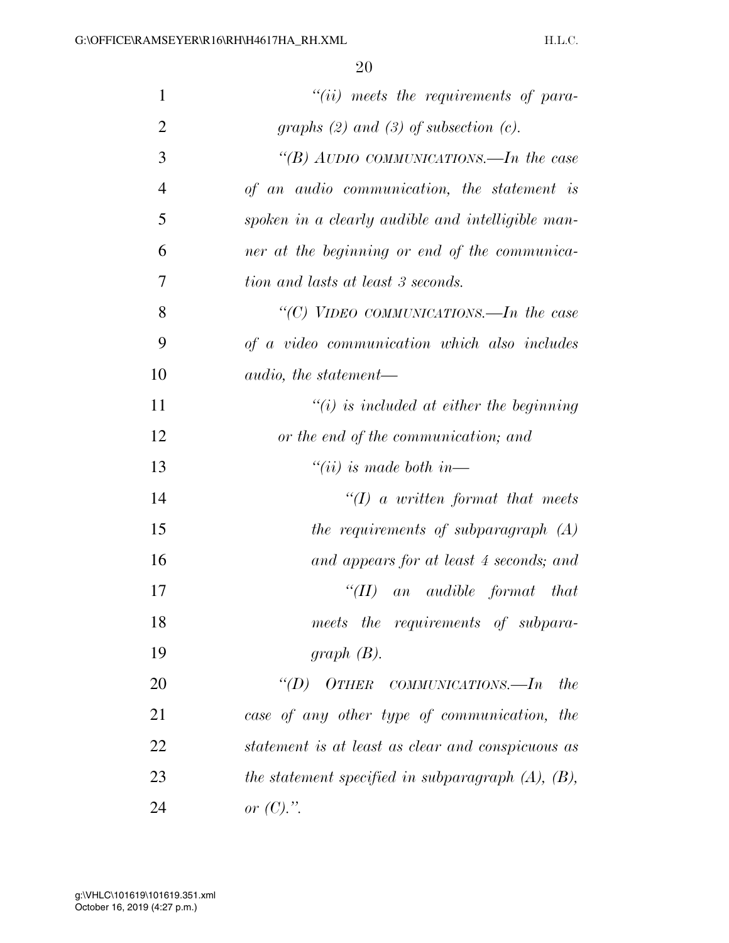| $\mathbf{1}$   | $"(ii)$ meets the requirements of para-                 |
|----------------|---------------------------------------------------------|
| $\overline{2}$ | graphs $(2)$ and $(3)$ of subsection $(c)$ .            |
| 3              | "(B) AUDIO COMMUNICATIONS.—In the case                  |
| $\overline{4}$ | of an audio communication, the statement is             |
| 5              | spoken in a clearly audible and intelligible man-       |
| 6              | ner at the beginning or end of the communica-           |
| 7              | tion and lasts at least 3 seconds.                      |
| 8              | "(C) VIDEO COMMUNICATIONS.—In the case                  |
| 9              | of a video communication which also includes            |
| 10             | <i>audio, the statement—</i>                            |
| 11             | $\lq\lq(i)$ is included at either the beginning         |
| 12             | or the end of the communication; and                    |
| 13             | $``(ii)$ is made both in—                               |
| 14             | $\lq (I)$ a written format that meets                   |
| 15             | the requirements of subparagraph (A)                    |
| 16             | and appears for at least 4 seconds; and                 |
| 17             | ``(II)<br>an audible format that                        |
| 18             | meets the requirements of subpara-                      |
| 19             | graph $(B)$ .                                           |
| 20             | "(D) OTHER COMMUNICATIONS.—In<br><i>the</i>             |
| 21             | case of any other type of communication, the            |
| 22             | statement is at least as clear and conspicuous as       |
| 23             | the statement specified in subparagraph $(A)$ , $(B)$ , |
| 24             | or $(C)$ .".                                            |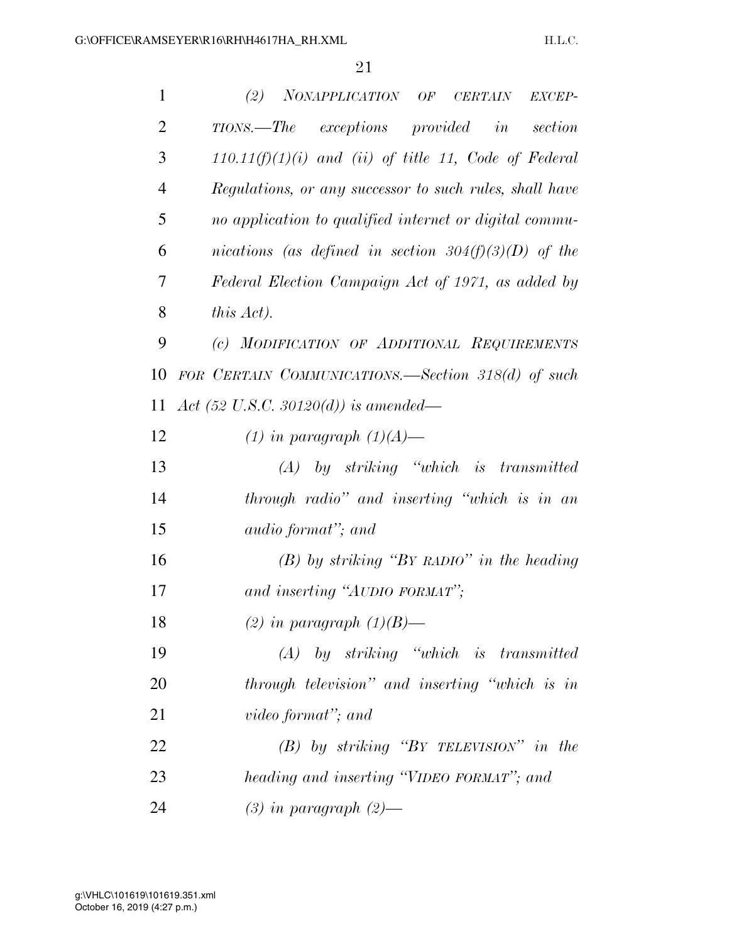| $\mathbf{1}$   | (2)<br>NONAPPLICATION OF CERTAIN<br>EXCEP-              |
|----------------|---------------------------------------------------------|
| $\overline{2}$ | TIONS.—The exceptions provided in<br>section            |
| 3              | $110.11(f)(1)(i)$ and (ii) of title 11, Code of Federal |
| $\overline{4}$ | Regulations, or any successor to such rules, shall have |
| 5              | no application to qualified internet or digital commu-  |
| 6              | nications (as defined in section 304(f)(3)(D) of the    |
| 7              | Federal Election Campaign Act of 1971, as added by      |
| 8              | this Act).                                              |
| 9              | (c) MODIFICATION OF ADDITIONAL REQUIREMENTS             |
| 10             | FOR CERTAIN COMMUNICATIONS.—Section 318(d) of such      |
| 11             | Act (52 U.S.C. 30120(d)) is amended—                    |
| 12             | $(1)$ in paragraph $(1)(A)$ —                           |
| 13             | $(A)$ by striking "which is transmitted"                |
| 14             | through radio" and inserting "which is in an            |
| 15             | <i>audio format"</i> ; and                              |
| 16             | $(B)$ by striking "BY RADIO" in the heading             |
| 17             | and inserting "AUDIO FORMAT";                           |
| 18             | (2) in paragraph $(1)(B)$ —                             |
| 19             | $(A)$ by striking "which is transmitted"                |
| 20             | through television" and inserting "which is in          |
| 21             | video format"; and                                      |
| 22             | $(B)$ by striking "BY TELEVISION" in the                |
| 23             | heading and inserting "VIDEO FORMAT"; and               |
| 24             | $(3)$ in paragraph $(2)$ —                              |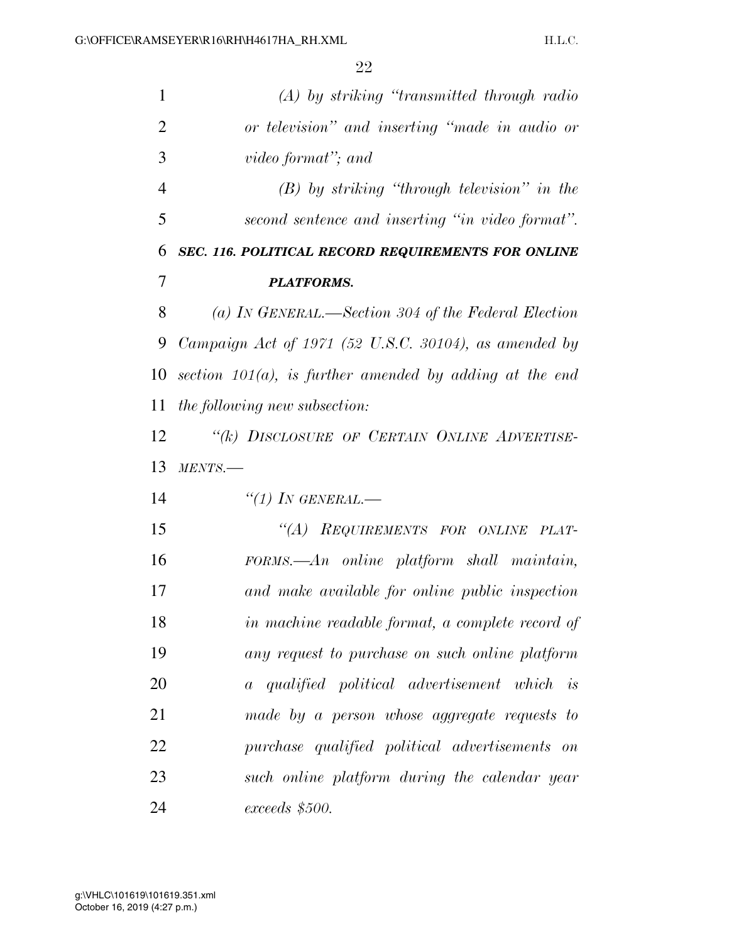| 1              | $(A)$ by striking "transmitted through radio"              |
|----------------|------------------------------------------------------------|
| $\overline{2}$ | or television" and inserting "made in audio or             |
| 3              | video format"; and                                         |
| $\overline{4}$ | $(B)$ by striking "through television" in the              |
| 5              | second sentence and inserting "in video format".           |
| 6              | SEC. 116. POLITICAL RECORD REQUIREMENTS FOR ONLINE         |
| 7              | <b>PLATFORMS.</b>                                          |
| 8              | (a) IN GENERAL.—Section 304 of the Federal Election        |
| 9              | Campaign Act of $1971$ (52 U.S.C. 30104), as amended by    |
| 10             | section $101(a)$ , is further amended by adding at the end |
| 11             | <i>the following new subsection:</i>                       |
| 12             | "(k) DISCLOSURE OF CERTAIN ONLINE ADVERTISE-               |
| 13             | MENTS.                                                     |
| 14             | "(1) IN GENERAL.-                                          |
| 15             | "(A) REQUIREMENTS FOR ONLINE PLAT-                         |
| 16             | $FORMS. - An$ online platform shall maintain,              |
| 17             | and make available for online public inspection            |
| 18             | in machine readable format, a complete record of           |
| 19             | any request to purchase on such online platform            |
| 20             | a qualified political advertisement which is               |
| 21             | made by a person whose aggregate requests to               |
| 22             | purchase qualified political advertisements on             |
| 23             | such online platform during the calendar year              |
| 24             | $exceeds$ \$500.                                           |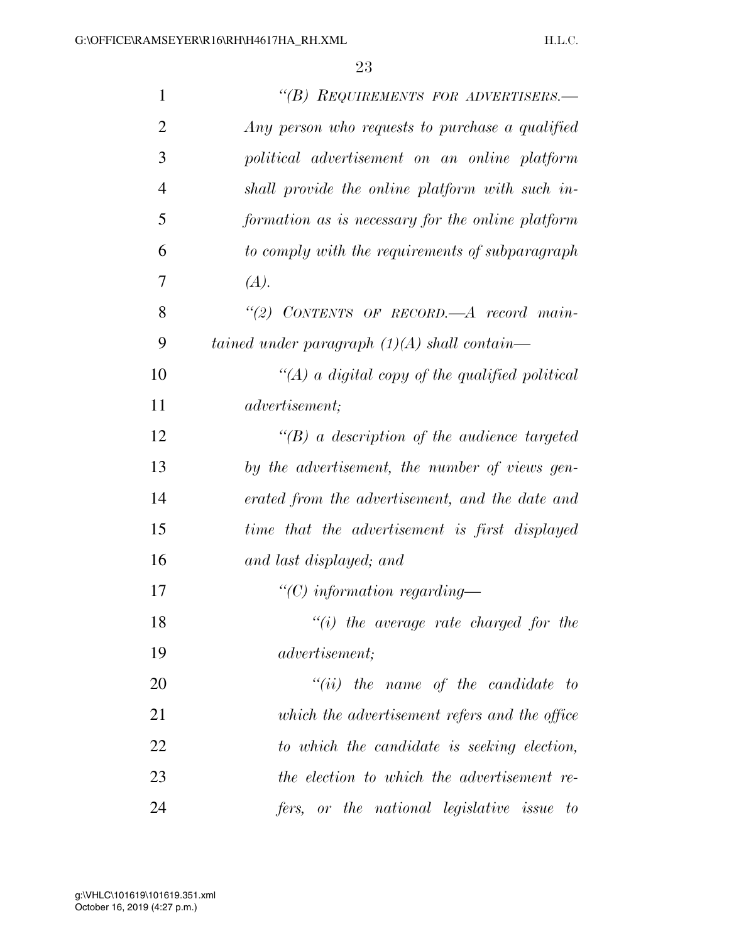| 1              | "(B) REQUIREMENTS FOR ADVERTISERS.-                |
|----------------|----------------------------------------------------|
| $\overline{2}$ | Any person who requests to purchase a qualified    |
| 3              | political advertisement on an online platform      |
| $\overline{4}$ | shall provide the online platform with such in-    |
| 5              | formation as is necessary for the online platform  |
| 6              | to comply with the requirements of subparagraph    |
| 7              | (A).                                               |
| 8              | "(2) CONTENTS OF RECORD.—A record main-            |
| 9              | tained under paragraph $(1)(A)$ shall contain—     |
| 10             | "(A) a digital copy of the qualified political     |
| 11             | <i>advertisement</i> ;                             |
| 12             | $\lq\lq(B)$ a description of the audience targeted |
| 13             | by the advertisement, the number of views gen-     |
| 14             | erated from the advertisement, and the date and    |
| 15             | time that the advertisement is first displayed     |
| 16             | and last displayed; and                            |
| 17             | "(C) information regarding—                        |
| 18             | $``(i)$ the average rate charged for the           |
| 19             | <i>advertisement</i> ;                             |
| 20             | $``(ii)$ the name of the candidate to              |
| 21             | which the advertisement refers and the office      |
| 22             | to which the candidate is seeking election,        |
| 23             | the election to which the advertisement re-        |
| 24             | fers, or the national legislative issue to         |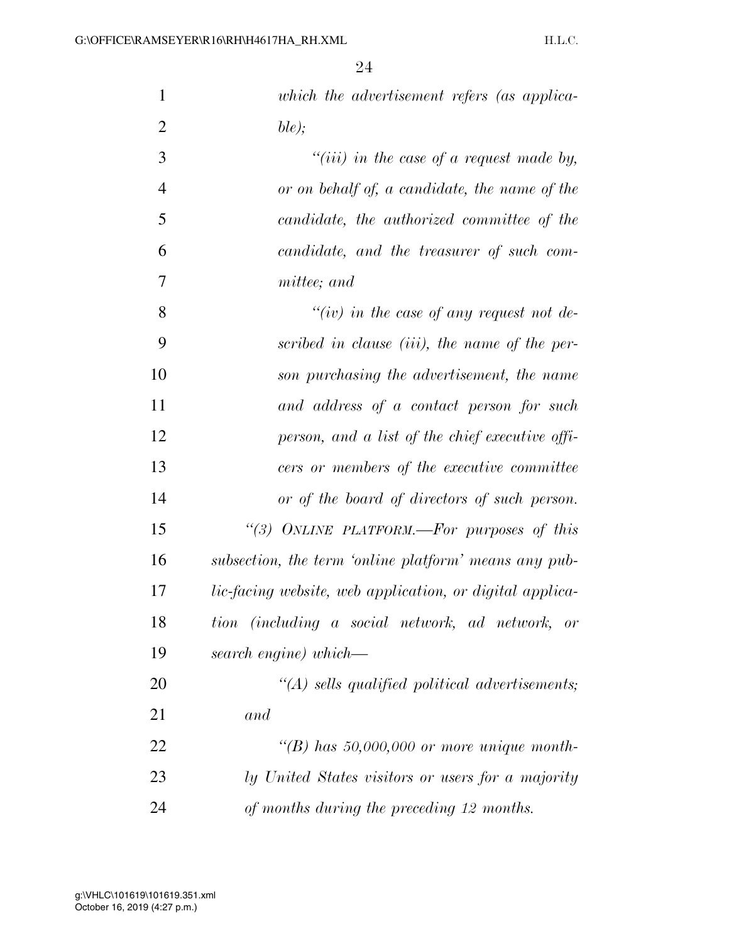| $\mathbf{1}$   | which the advertisement refers (as applica-                     |
|----------------|-----------------------------------------------------------------|
| $\overline{2}$ | ble);                                                           |
| 3              | "(iii) in the case of a request made by,                        |
| $\overline{4}$ | or on behalf of, a candidate, the name of the                   |
| 5              | candidate, the authorized committee of the                      |
| 6              | candidate, and the treasurer of such com-                       |
| 7              | mittee; and                                                     |
| 8              | "(iv) in the case of any request not de-                        |
| 9              | scribed in clause (iii), the name of the per-                   |
| 10             | son purchasing the advertisement, the name                      |
| 11             | and address of a contact person for such                        |
| 12             | person, and a list of the chief executive offi-                 |
| 13             | cers or members of the executive committee                      |
| 14             | or of the board of directors of such person.                    |
| 15             | "(3) ONLINE PLATFORM.—For purposes of this                      |
| 16             | subsection, the term 'online platform' means any pub-           |
| 17             | <i>lic-facing website, web application, or digital applica-</i> |
| 18             | tion (including a social network, ad network,<br>$\emph{or}$    |
| 19             | search engine) which—                                           |
| 20             | $\lq (A)$ sells qualified political advertisements;             |
| 21             | and                                                             |
| 22             | "(B) has $50,000,000$ or more unique month-                     |
| 23             | ly United States visitors or users for a majority               |
| 24             | of months during the preceding 12 months.                       |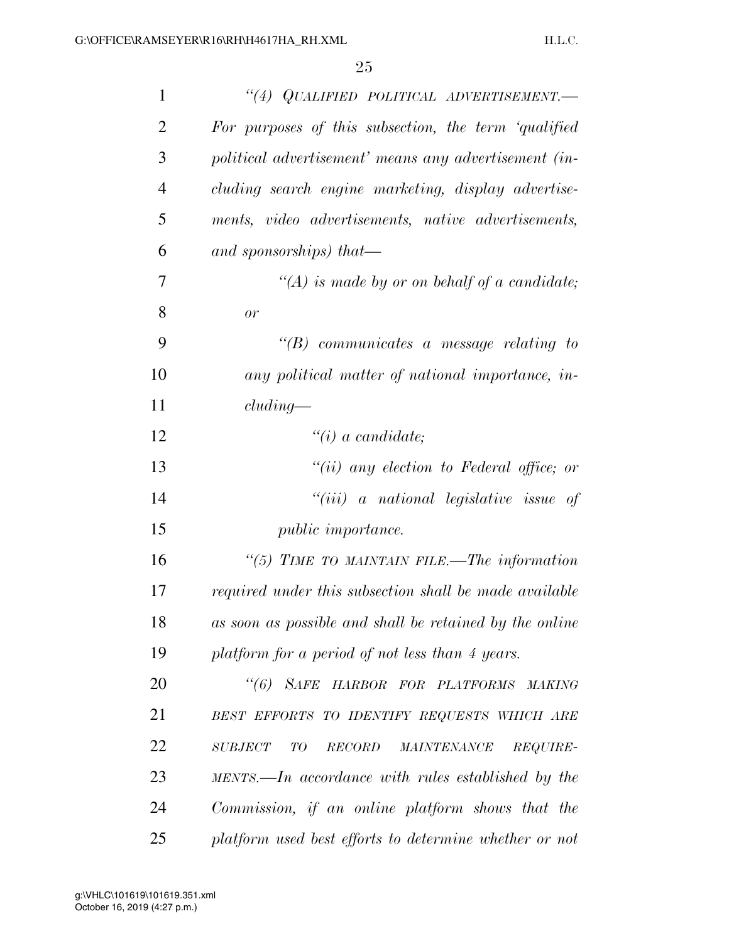| $\mathbf{1}$   | "(4) QUALIFIED POLITICAL ADVERTISEMENT.-                 |
|----------------|----------------------------------------------------------|
| $\overline{2}$ | For purposes of this subsection, the term 'qualified     |
| 3              | political advertisement' means any advertisement (in-    |
| 4              | cluding search engine marketing, display advertise-      |
| 5              | ments, video advertisements, native advertisements,      |
| 6              | and sponsorships) that—                                  |
| 7              | $\lq (A)$ is made by or on behalf of a candidate;        |
| 8              | or                                                       |
| 9              | $\lq\lq B$ communicates a message relating to            |
| 10             | any political matter of national importance, in-         |
| 11             | cluding                                                  |
| 12             | $\lq\lq(i)$ a candidate;                                 |
| 13             | $``(ii)$ any election to Federal office; or              |
| 14             | $``(iii)$ a national legislative issue of                |
| 15             | <i>public importance.</i>                                |
| 16             | "(5) TIME TO MAINTAIN FILE.—The information              |
| 17             | required under this subsection shall be made available   |
| 18             | as soon as possible and shall be retained by the online  |
| 19             | platform for a period of not less than 4 years.          |
| <b>20</b>      | "(6) SAFE HARBOR FOR PLATFORMS MAKING                    |
| 21             | BEST EFFORTS TO IDENTIFY REQUESTS WHICH ARE              |
| 22             | $\it SUBJECT$<br>TO<br>RECORD<br>MAINTENANCE<br>REQUIRE- |
| 23             | $MENTS.$ —In accordance with rules established by the    |
| 24             | Commission, if an online platform shows that the         |
| 25             | platform used best efforts to determine whether or not   |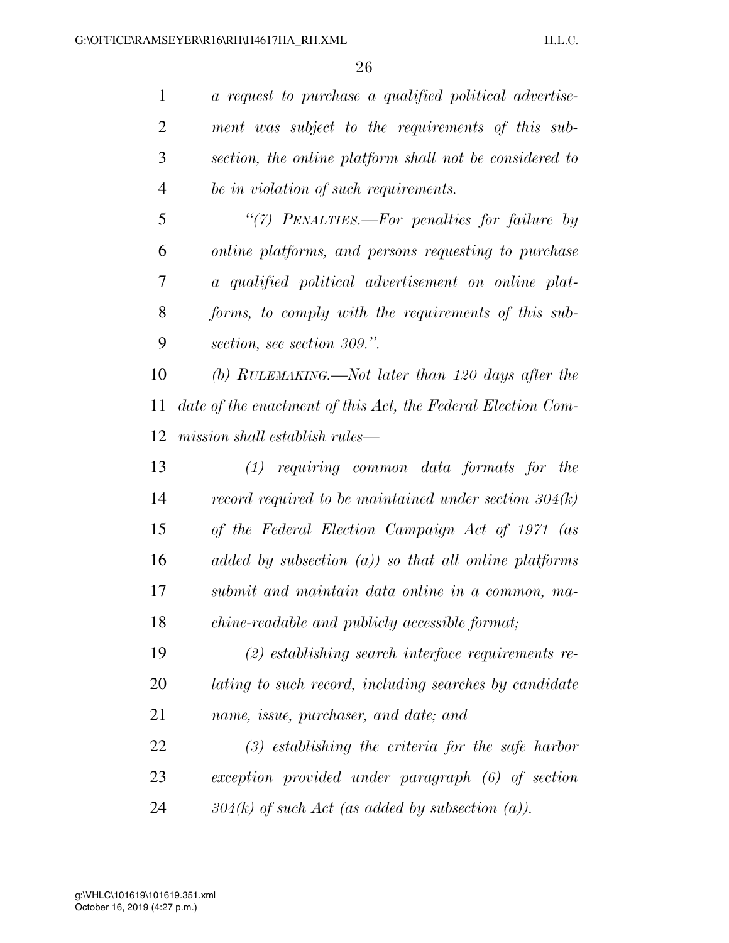*a request to purchase a qualified political advertise- ment was subject to the requirements of this sub- section, the online platform shall not be considered to be in violation of such requirements.* 

 *''(7) PENALTIES.—For penalties for failure by online platforms, and persons requesting to purchase a qualified political advertisement on online plat- forms, to comply with the requirements of this sub-section, see section 309.''.* 

 *(b) RULEMAKING.—Not later than 120 days after the date of the enactment of this Act, the Federal Election Com-mission shall establish rules—* 

 *(1) requiring common data formats for the record required to be maintained under section 304(k) of the Federal Election Campaign Act of 1971 (as added by subsection (a)) so that all online platforms submit and maintain data online in a common, ma-chine-readable and publicly accessible format;* 

 *(2) establishing search interface requirements re- lating to such record, including searches by candidate name, issue, purchaser, and date; and* 

 *(3) establishing the criteria for the safe harbor exception provided under paragraph (6) of section 304(k) of such Act (as added by subsection (a)).*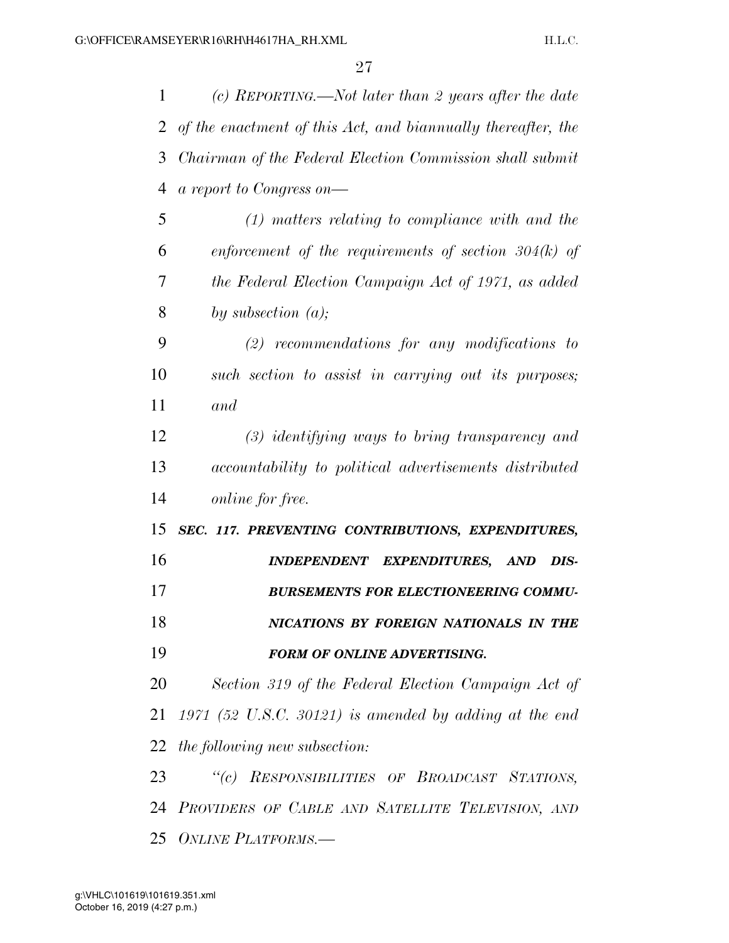*(c) REPORTING.—Not later than 2 years after the date of the enactment of this Act, and biannually thereafter, the Chairman of the Federal Election Commission shall submit a report to Congress on— (1) matters relating to compliance with and the enforcement of the requirements of section 304(k) of the Federal Election Campaign Act of 1971, as added by subsection (a); (2) recommendations for any modifications to such section to assist in carrying out its purposes; and (3) identifying ways to bring transparency and accountability to political advertisements distributed online for free. SEC. 117. PREVENTING CONTRIBUTIONS, EXPENDITURES, INDEPENDENT EXPENDITURES, AND DIS- BURSEMENTS FOR ELECTIONEERING COMMU- NICATIONS BY FOREIGN NATIONALS IN THE FORM OF ONLINE ADVERTISING. Section 319 of the Federal Election Campaign Act of 1971 (52 U.S.C. 30121) is amended by adding at the end the following new subsection: ''(c) RESPONSIBILITIES OF BROADCAST STATIONS, PROVIDERS OF CABLE AND SATELLITE TELEVISION, AND ONLINE PLATFORMS.—*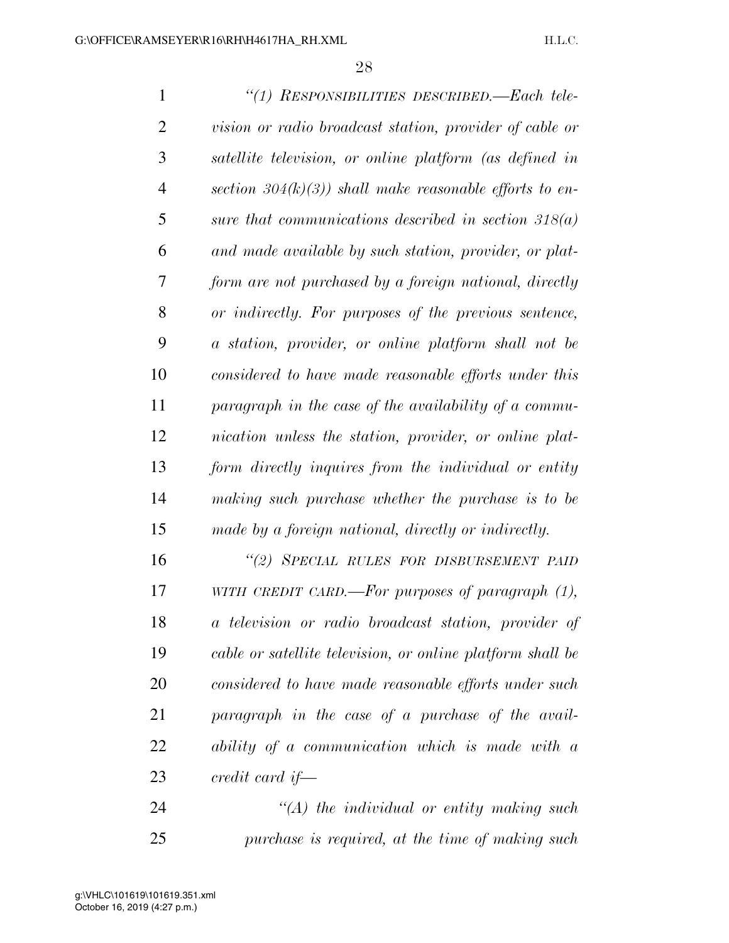| $\mathbf{1}$   | "(1) RESPONSIBILITIES DESCRIBED.—Each tele-                |
|----------------|------------------------------------------------------------|
| $\overline{2}$ | vision or radio broadcast station, provider of cable or    |
| 3              | satellite television, or online platform (as defined in    |
| $\overline{4}$ | section $304(k)(3)$ ) shall make reasonable efforts to en- |
| 5              | sure that communications described in section $318(a)$     |
| 6              | and made available by such station, provider, or plat-     |
| 7              | form are not purchased by a foreign national, directly     |
| 8              | or indirectly. For purposes of the previous sentence,      |
| 9              | a station, provider, or online platform shall not be       |
| 10             | considered to have made reasonable efforts under this      |
| 11             | paragraph in the case of the availability of a commu-      |
| 12             | nication unless the station, provider, or online plat-     |
| 13             | form directly inquires from the individual or entity       |
| 14             | making such purchase whether the purchase is to be         |
| 15             | made by a foreign national, directly or indirectly.        |
| 16             | "(2) SPECIAL RULES FOR DISBURSEMENT PAID                   |
| 17             | WITH CREDIT CARD.—For purposes of paragraph $(1)$ ,        |
| 18             | a television or radio broadcast station, provider of       |
| 19             | cable or satellite television, or online platform shall be |
| 20             | considered to have made reasonable efforts under such      |
| 21             | paragraph in the case of a purchase of the avail-          |
| 22             | ability of a communication which is made with a            |
| 23             | credit card if—                                            |
|                |                                                            |

 *''(A) the individual or entity making such purchase is required, at the time of making such*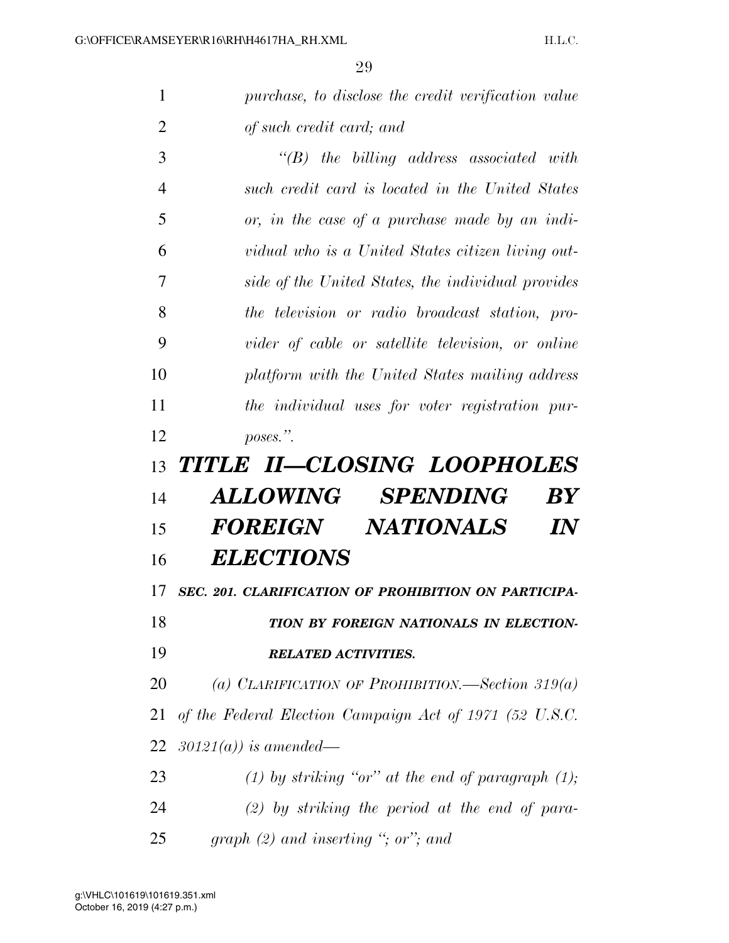*purchase, to disclose the credit verification value* 

| $\overline{2}$ | of such credit card; and                                |
|----------------|---------------------------------------------------------|
| 3              | $\lq\lq B$ the billing address associated with          |
| $\overline{4}$ | such credit card is located in the United States        |
| 5              | or, in the case of a purchase made by an indi-          |
| 6              | vidual who is a United States citizen living out-       |
| 7              | side of the United States, the individual provides      |
| 8              | the television or radio broadcast station, pro-         |
| 9              | vider of cable or satellite television, or online       |
| 10             | platform with the United States mailing address         |
| 11             | the individual uses for voter registration pur-         |
| 12             | poses.".                                                |
| 13             | TITLE II-CLOSING LOOPHOLES                              |
| 14             | <b>ALLOWING</b><br><i>SPENDING</i><br>$\bm{B} \bm{Y}$   |
| 15             | FOREIGN NATIONALS<br>$\bm{I\!N}$                        |
|                |                                                         |
| 16             | <b>ELECTIONS</b>                                        |
| 17             | SEC. 201. CLARIFICATION OF PROHIBITION ON PARTICIPA-    |
| 18             | TION BY FOREIGN NATIONALS IN ELECTION-                  |
| 19             | <b>RELATED ACTIVITIES.</b>                              |
| 20             | (a) CLARIFICATION OF PROHIBITION.—Section 319(a)        |
| 21             | of the Federal Election Campaign Act of 1971 (52 U.S.C. |
| 22             | $30121(a)$ ) is amended—                                |
| 23             | (1) by striking "or" at the end of paragraph $(1)$ ;    |
| 24             | $(2)$ by striking the period at the end of para-        |
| 25             | graph $(2)$ and inserting "; or"; and                   |
|                |                                                         |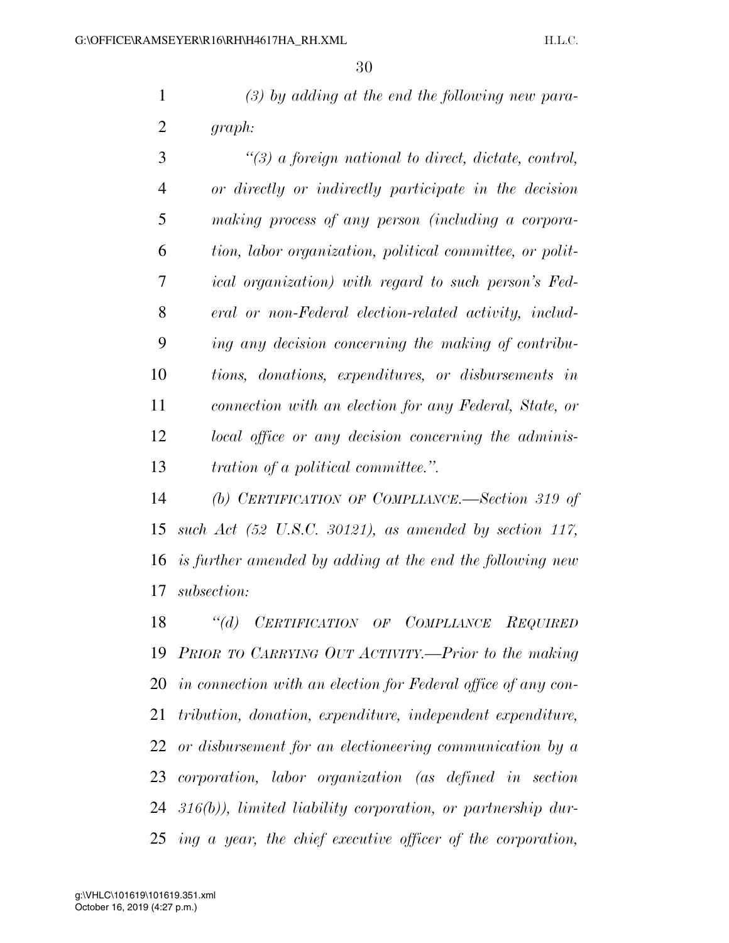*(3) by adding at the end the following new para-graph:* 

 *''(3) a foreign national to direct, dictate, control, or directly or indirectly participate in the decision making process of any person (including a corpora- tion, labor organization, political committee, or polit- ical organization) with regard to such person's Fed- eral or non-Federal election-related activity, includ- ing any decision concerning the making of contribu- tions, donations, expenditures, or disbursements in connection with an election for any Federal, State, or local office or any decision concerning the adminis-tration of a political committee.''.* 

 *(b) CERTIFICATION OF COMPLIANCE.—Section 319 of such Act (52 U.S.C. 30121), as amended by section 117, is further amended by adding at the end the following new subsection:* 

 *''(d) CERTIFICATION OF COMPLIANCE REQUIRED PRIOR TO CARRYING OUT ACTIVITY.—Prior to the making in connection with an election for Federal office of any con- tribution, donation, expenditure, independent expenditure, or disbursement for an electioneering communication by a corporation, labor organization (as defined in section 316(b)), limited liability corporation, or partnership dur-ing a year, the chief executive officer of the corporation,*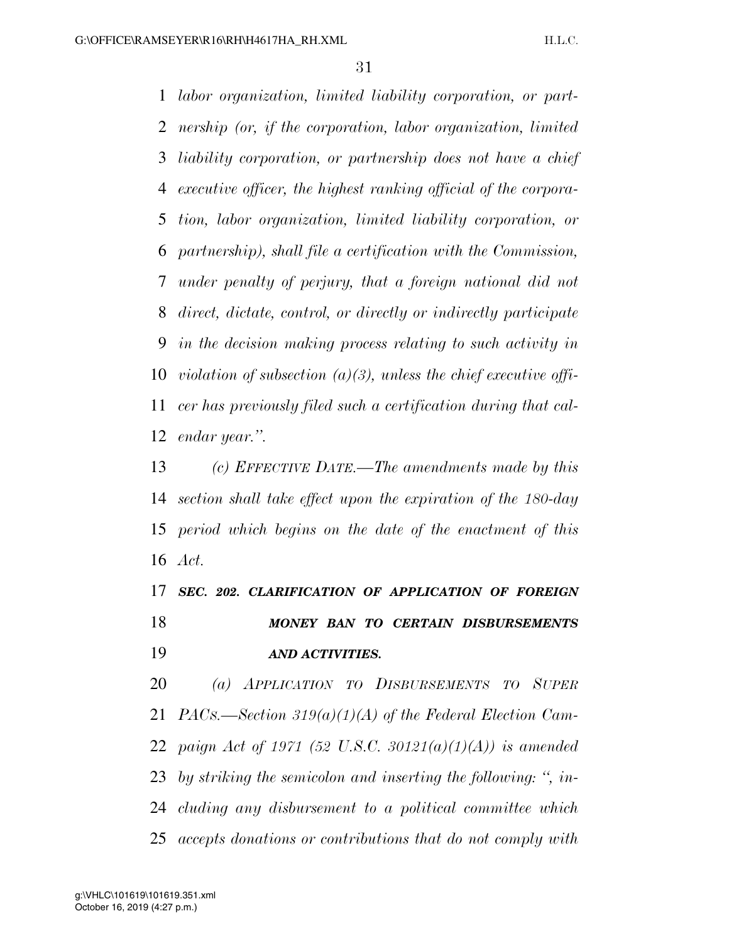*labor organization, limited liability corporation, or part- nership (or, if the corporation, labor organization, limited liability corporation, or partnership does not have a chief executive officer, the highest ranking official of the corpora- tion, labor organization, limited liability corporation, or partnership), shall file a certification with the Commission, under penalty of perjury, that a foreign national did not direct, dictate, control, or directly or indirectly participate in the decision making process relating to such activity in violation of subsection (a)(3), unless the chief executive offi- cer has previously filed such a certification during that cal-endar year.''.* 

 *(c) EFFECTIVE DATE.—The amendments made by this section shall take effect upon the expiration of the 180-day period which begins on the date of the enactment of this Act.* 

 *SEC. 202. CLARIFICATION OF APPLICATION OF FOREIGN MONEY BAN TO CERTAIN DISBURSEMENTS AND ACTIVITIES.* 

 *(a) APPLICATION TO DISBURSEMENTS TO SUPER PACS.—Section 319(a)(1)(A) of the Federal Election Cam- paign Act of 1971 (52 U.S.C. 30121(a)(1)(A)) is amended by striking the semicolon and inserting the following: '', in- cluding any disbursement to a political committee which accepts donations or contributions that do not comply with*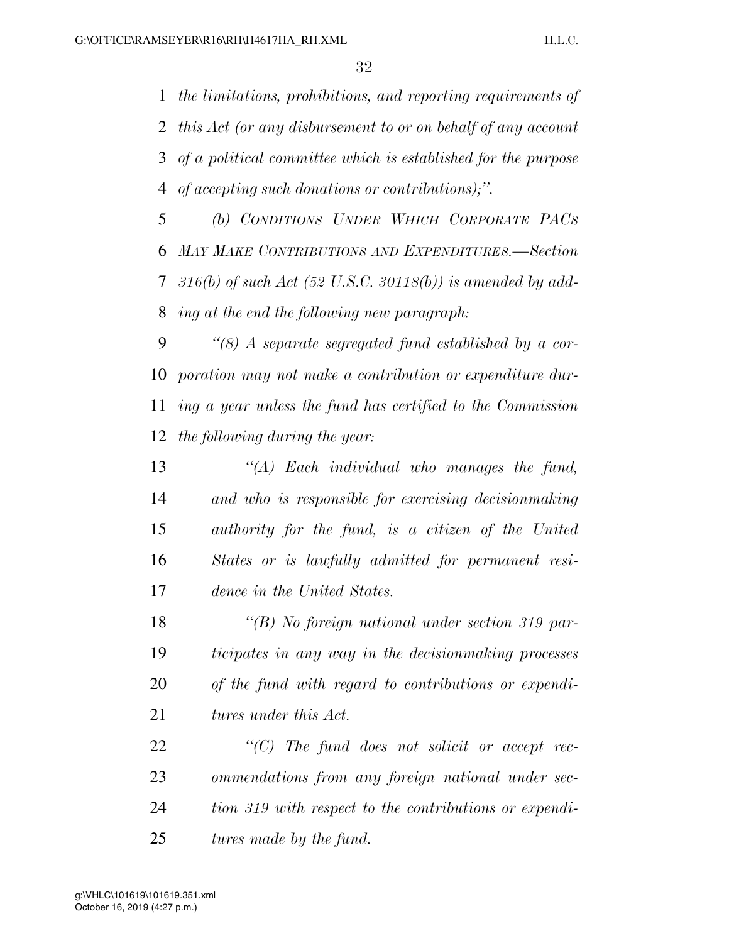*the limitations, prohibitions, and reporting requirements of this Act (or any disbursement to or on behalf of any account of a political committee which is established for the purpose of accepting such donations or contributions);''.* 

 *(b) CONDITIONS UNDER WHICH CORPORATE PACS MAY MAKE CONTRIBUTIONS AND EXPENDITURES.—Section 316(b) of such Act (52 U.S.C. 30118(b)) is amended by add-ing at the end the following new paragraph:* 

 *''(8) A separate segregated fund established by a cor- poration may not make a contribution or expenditure dur- ing a year unless the fund has certified to the Commission the following during the year:* 

 *''(A) Each individual who manages the fund, and who is responsible for exercising decisionmaking authority for the fund, is a citizen of the United States or is lawfully admitted for permanent resi-dence in the United States.* 

 *''(B) No foreign national under section 319 par- ticipates in any way in the decisionmaking processes of the fund with regard to contributions or expendi-tures under this Act.* 

 *''(C) The fund does not solicit or accept rec- ommendations from any foreign national under sec- tion 319 with respect to the contributions or expendi-tures made by the fund.*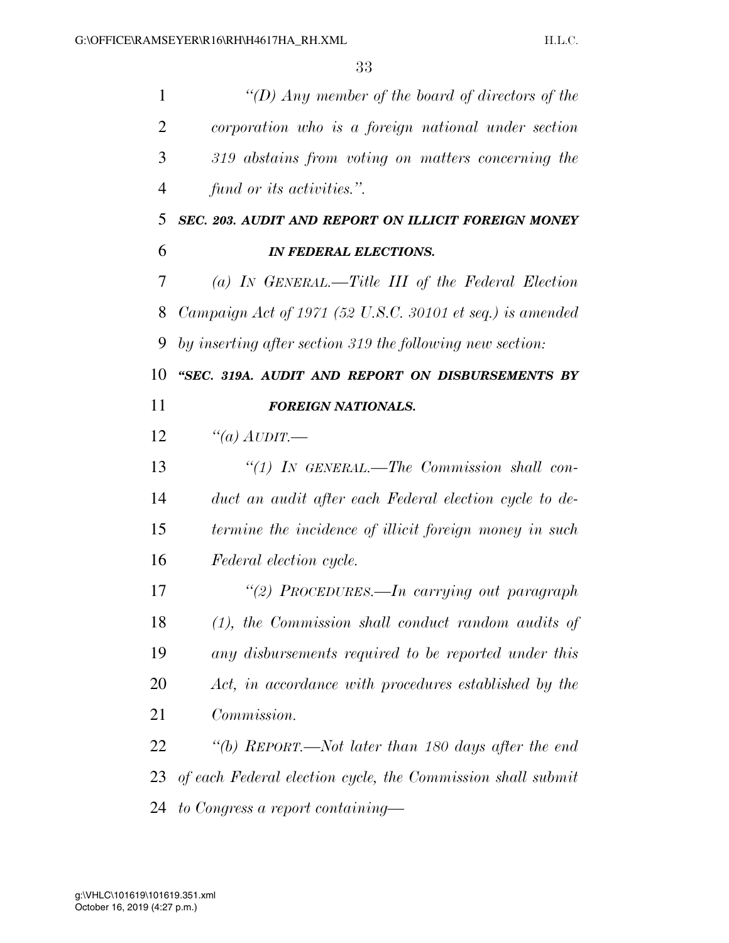| $\mathbf{1}$ | "(D) Any member of the board of directors of the            |
|--------------|-------------------------------------------------------------|
| 2            | corporation who is a foreign national under section         |
| 3            | 319 abstains from voting on matters concerning the          |
| 4            | fund or its activities.".                                   |
| 5            | SEC. 203. AUDIT AND REPORT ON ILLICIT FOREIGN MONEY         |
| 6            | <b>IN FEDERAL ELECTIONS.</b>                                |
| 7            | (a) IN GENERAL.—Title III of the Federal Election           |
| 8            | Campaign Act of 1971 (52 U.S.C. 30101 et seq.) is amended   |
| 9            | by inserting after section 319 the following new section:   |
| 10           | "SEC. 319A. AUDIT AND REPORT ON DISBURSEMENTS BY            |
| 11           | <b>FOREIGN NATIONALS.</b>                                   |
| 12           | "(a) $A$ UDIT.—                                             |
| 13           | "(1) IN GENERAL.—The Commission shall con-                  |
| 14           | duct an audit after each Federal election cycle to de-      |
| 15           | termine the incidence of illicit foreign money in such      |
| 16           | Federal election cycle.                                     |
| 17           | "(2) PROCEDURES.—In carrying out paragraph                  |
| 18           | $(1)$ , the Commission shall conduct random audits of       |
| 19           | any disbursements required to be reported under this        |
| 20           | Act, in accordance with procedures established by the       |
| 21           | Commission.                                                 |
| 22           | "(b) REPORT.—Not later than 180 days after the end          |
| 23           | of each Federal election cycle, the Commission shall submit |
| 24           | to Congress a report containing—                            |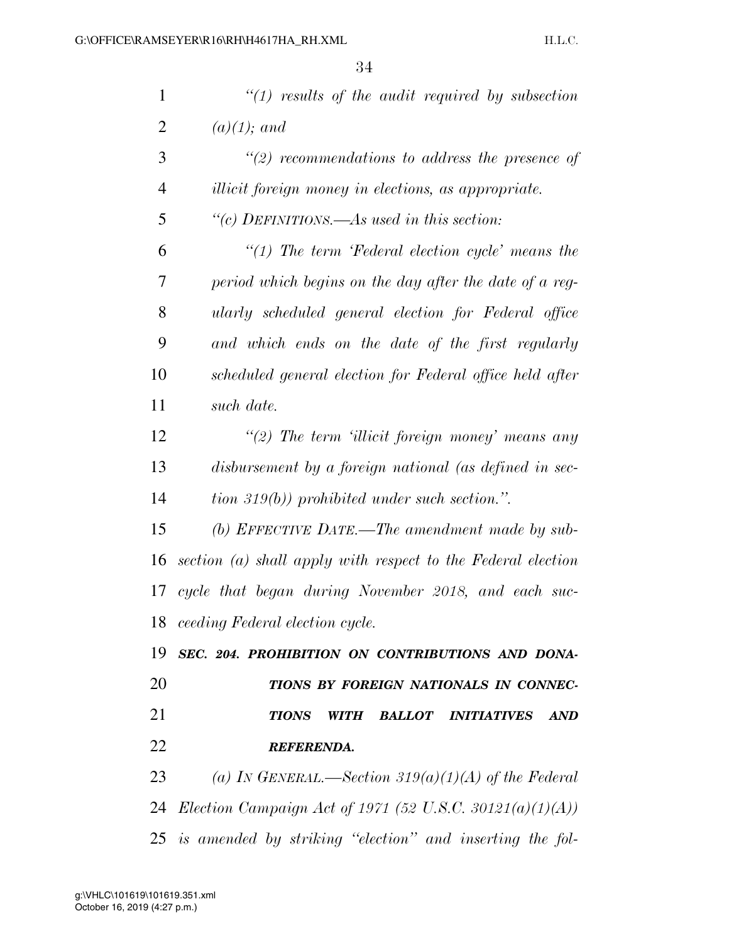| $\mathbf{1}$   | $\lq(1)$ results of the audit required by subsection            |
|----------------|-----------------------------------------------------------------|
| $\overline{2}$ | $(a)(1);$ and                                                   |
| 3              | $\lq(2)$ recommendations to address the presence of             |
| $\overline{4}$ | <i>illicit foreign money in elections, as appropriate.</i>      |
| 5              | "(c) DEFINITIONS.—As used in this section:                      |
| 6              | $\lq(1)$ The term 'Federal election cycle' means the            |
| 7              | period which begins on the day after the date of a reg-         |
| 8              | ularly scheduled general election for Federal office            |
| 9              | and which ends on the date of the first regularly               |
| 10             | scheduled general election for Federal office held after        |
| 11             | such date.                                                      |
| 12             | $\lq(2)$ The term 'illicit foreign money' means any             |
| 13             | disbursement by a foreign national (as defined in sec-          |
| 14             | $\langle$ tion 319(b)) prohibited under such section.".         |
| 15             | (b) EFFECTIVE DATE.—The amendment made by sub-                  |
| 16             | section (a) shall apply with respect to the Federal election    |
| 17             | cycle that began during November 2018, and each suc-            |
|                | 18 ceeding Federal election cycle.                              |
| 19             | SEC. 204. PROHIBITION ON CONTRIBUTIONS AND DONA-                |
| 20             | TIONS BY FOREIGN NATIONALS IN CONNEC-                           |
| 21             | <b>TIONS</b><br><b>BALLOT INITIATIVES</b><br><b>AND</b><br>WITH |
| 22             | <b>REFERENDA.</b>                                               |
| 23             | (a) IN GENERAL.—Section 319(a)(1)(A) of the Federal             |
| 24             | <i>Election Campaign Act of 1971 (52 U.S.C. 30121(a)(1)(A))</i> |
|                | 25 is amended by striking "election" and inserting the fol-     |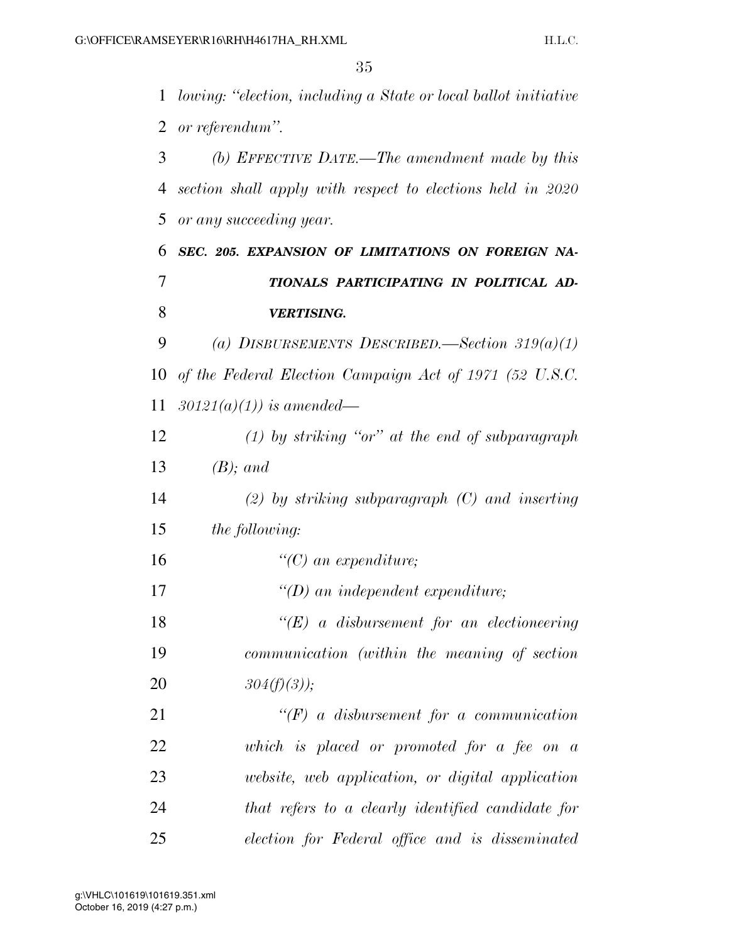*lowing: ''election, including a State or local ballot initiative or referendum''. (b) EFFECTIVE DATE.—The amendment made by this section shall apply with respect to elections held in 2020 or any succeeding year. SEC. 205. EXPANSION OF LIMITATIONS ON FOREIGN NA- TIONALS PARTICIPATING IN POLITICAL AD- VERTISING. (a) DISBURSEMENTS DESCRIBED.—Section 319(a)(1) of the Federal Election Campaign Act of 1971 (52 U.S.C. 30121(a)(1)) is amended— (1) by striking ''or'' at the end of subparagraph (B); and (2) by striking subparagraph (C) and inserting the following: ''(C) an expenditure; ''(D) an independent expenditure; ''(E) a disbursement for an electioneering communication (within the meaning of section 304(f)(3)); ''(F) a disbursement for a communication which is placed or promoted for a fee on a website, web application, or digital application that refers to a clearly identified candidate for election for Federal office and is disseminated*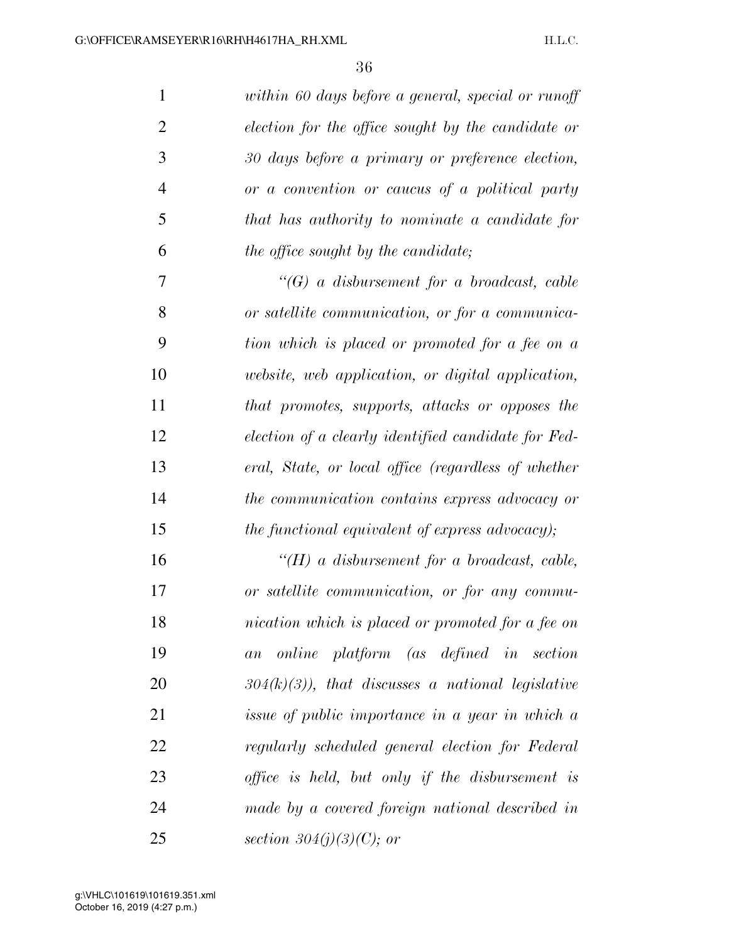| $\mathbf{1}$   | within 60 days before a general, special or runoff  |
|----------------|-----------------------------------------------------|
| $\overline{2}$ | election for the office sought by the candidate or  |
| 3              | 30 days before a primary or preference election,    |
| $\overline{4}$ | or a convention or caucus of a political party      |
| 5              | that has authority to nominate a candidate for      |
| 6              | the office sought by the candidate;                 |
| 7              | $\lq\lq(G)$ a disbursement for a broadcast, cable   |
| 8              | or satellite communication, or for a communica-     |
| 9              | tion which is placed or promoted for a fee on a     |
| 10             | website, web application, or digital application,   |
| 11             | that promotes, supports, attacks or opposes the     |
| 12             | election of a clearly identified candidate for Fed- |
| 13             | eral, State, or local office (regardless of whether |
| 14             | the communication contains express advocacy or      |
| 15             | the functional equivalent of express advocacy);     |
| 16             | $H(H)$ a disbursement for a broadcast, cable,       |
| 17             | or satellite communication, or for any commu-       |
| 18             | nication which is placed or promoted for a fee on   |
| 19             | online platform (as defined in section<br>a n       |
| 20             | $304(k)(3)$ , that discusses a national legislative |
| 21             | issue of public importance in a year in which a     |
| 22             | regularly scheduled general election for Federal    |
| 23             | office is held, but only if the disbursement is     |
| 24             | made by a covered foreign national described in     |
| 25             | section $304(j)(3)(C)$ ; or                         |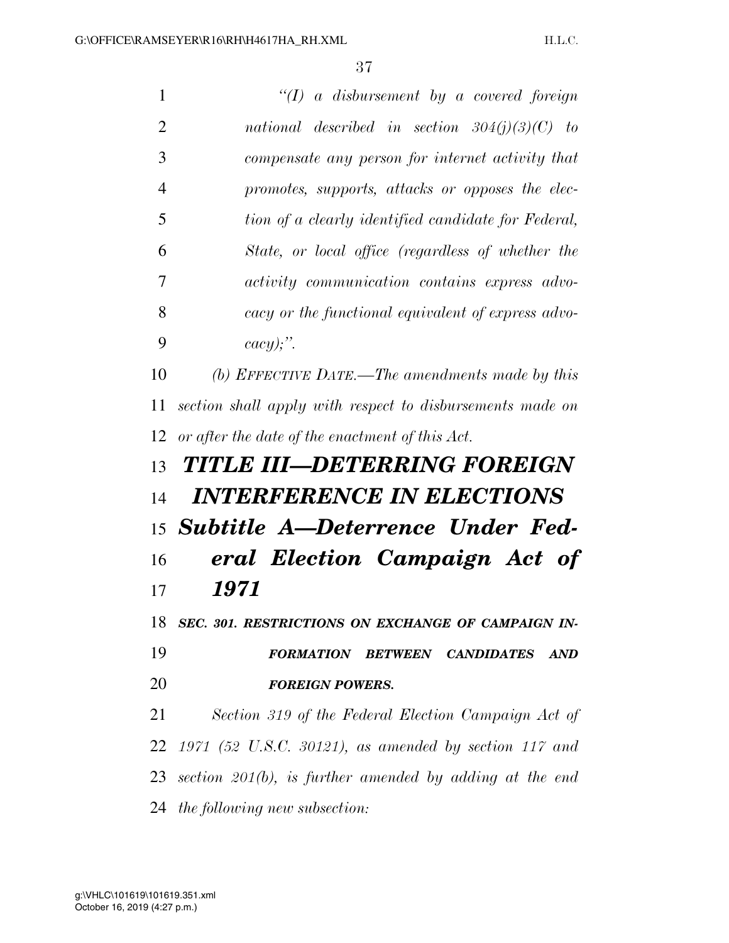*''(I) a disbursement by a covered foreign national described in section 304(j)(3)(C) to compensate any person for internet activity that promotes, supports, attacks or opposes the elec- tion of a clearly identified candidate for Federal, State, or local office (regardless of whether the activity communication contains express advo- cacy or the functional equivalent of express advo- cacy);''. (b) EFFECTIVE DATE.—The amendments made by this section shall apply with respect to disbursements made on or after the date of the enactment of this Act. TITLE III—DETERRING FOREIGN INTERFERENCE IN ELECTIONS Subtitle A—Deterrence Under Fed- eral Election Campaign Act of 1971 SEC. 301. RESTRICTIONS ON EXCHANGE OF CAMPAIGN IN- FORMATION BETWEEN CANDIDATES AND FOREIGN POWERS. Section 319 of the Federal Election Campaign Act of 1971 (52 U.S.C. 30121), as amended by section 117 and section 201(b), is further amended by adding at the end the following new subsection:*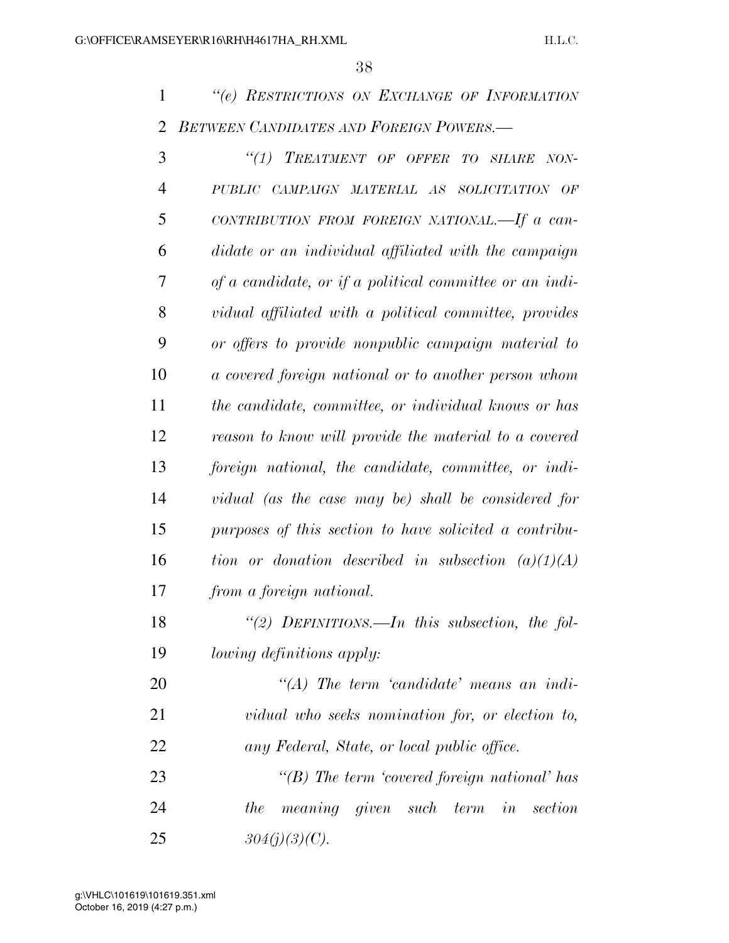*''(e) RESTRICTIONS ON EXCHANGE OF INFORMATION BETWEEN CANDIDATES AND FOREIGN POWERS.—* 

| 3              | "(1) TREATMENT OF OFFER TO SHARE NON-                   |
|----------------|---------------------------------------------------------|
| $\overline{4}$ | PUBLIC CAMPAIGN MATERIAL AS SOLICITATION OF             |
| 5              | CONTRIBUTION FROM FOREIGN NATIONAL.—If a can-           |
| 6              | didate or an individual affiliated with the campaign    |
| 7              | of a candidate, or if a political committee or an indi- |
| 8              | vidual affiliated with a political committee, provides  |
| 9              | or offers to provide nonpublic campaign material to     |
| 10             | a covered foreign national or to another person whom    |
| 11             | the candidate, committee, or individual knows or has    |
| 12             | reason to know will provide the material to a covered   |
| 13             | foreign national, the candidate, committee, or indi-    |
| 14             | vidual (as the case may be) shall be considered for     |
| 15             | purposes of this section to have solicited a contribu-  |
| 16             | tion or donation described in subsection $(a)(1)(A)$    |
| 17             | from a foreign national.                                |
| 18             | "(2) DEFINITIONS.—In this subsection, the fol-          |
| 19             | <i>lowing definitions apply:</i>                        |
| 20             | $\lq (A)$ The term 'candidate' means an indi-           |
| 21             | vidual who seeks nomination for, or election to,        |
| 22             | any Federal, State, or local public office.             |
| 23             | "(B) The term 'covered foreign national' has            |
| 24             | meaning given such term in section<br>the               |
| 25             | $304(j)(3)(C)$ .                                        |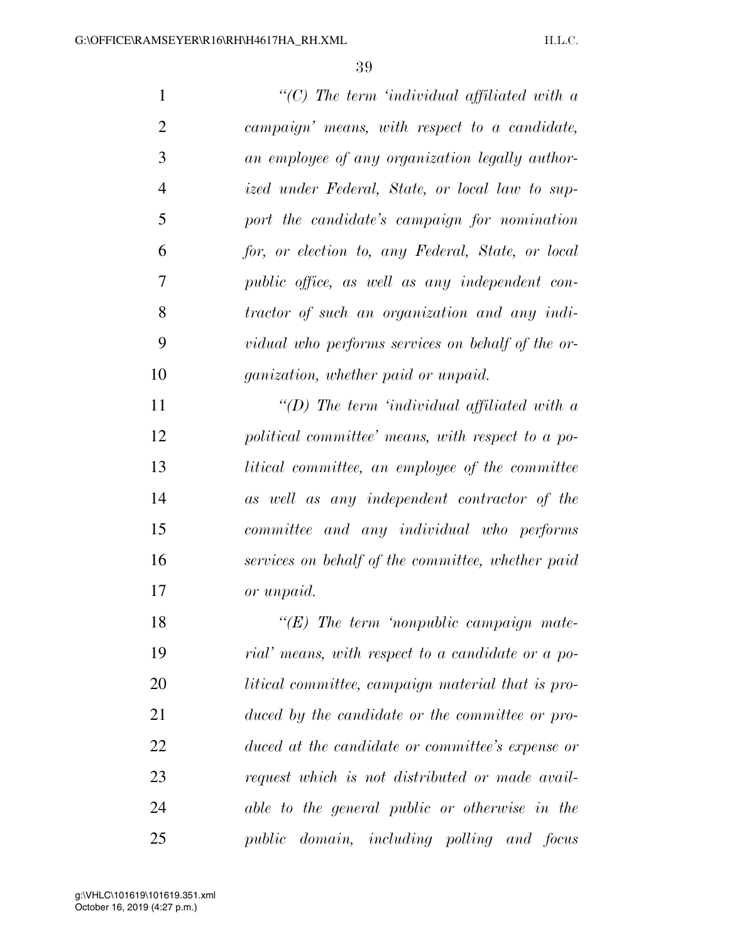*''(C) The term 'individual affiliated with a campaign' means, with respect to a candidate, an employee of any organization legally author- ized under Federal, State, or local law to sup- port the candidate's campaign for nomination for, or election to, any Federal, State, or local public office, as well as any independent con- tractor of such an organization and any indi- vidual who performs services on behalf of the or- ganization, whether paid or unpaid. ''(D) The term 'individual affiliated with a political committee' means, with respect to a po- litical committee, an employee of the committee as well as any independent contractor of the committee and any individual who performs services on behalf of the committee, whether paid or unpaid. ''(E) The term 'nonpublic campaign mate- rial' means, with respect to a candidate or a po- litical committee, campaign material that is pro- duced by the candidate or the committee or pro- duced at the candidate or committee's expense or request which is not distributed or made avail-*

*public domain, including polling and focus* 

*able to the general public or otherwise in the*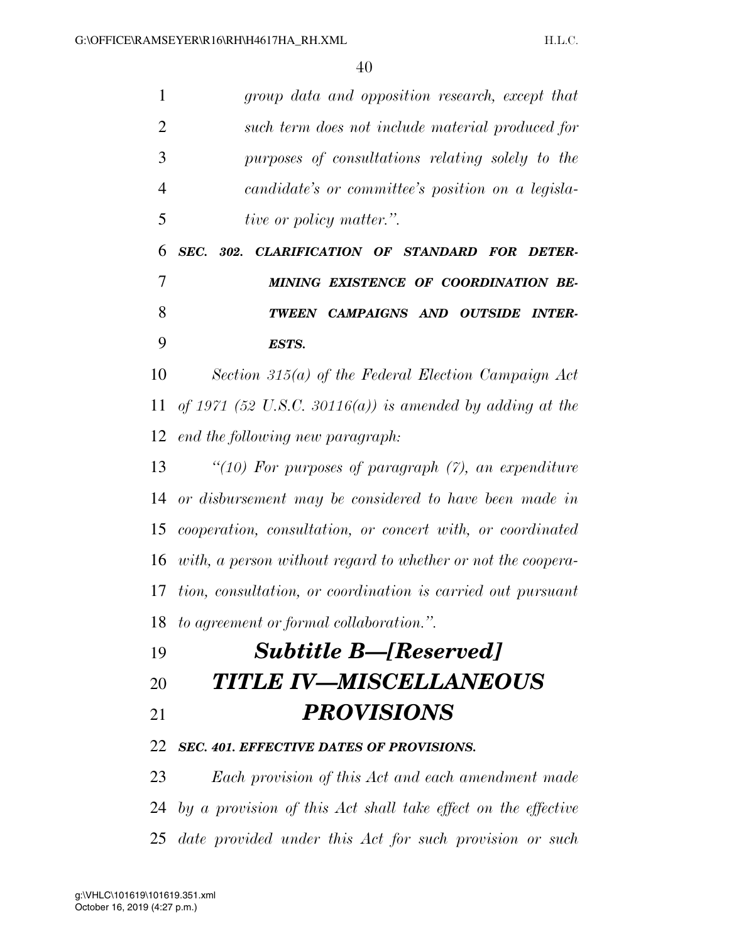| 1              | group data and opposition research, except that               |
|----------------|---------------------------------------------------------------|
| $\overline{2}$ | such term does not include material produced for              |
| 3              | purposes of consultations relating solely to the              |
| 4              | candidate's or committee's position on a legisla-             |
| 5              | <i>tive or policy matter.</i> ".                              |
| 6              | SEC. 302. CLARIFICATION OF STANDARD FOR DETER-                |
| 7              | MINING EXISTENCE OF COORDINATION BE-                          |
| 8              | TWEEN CAMPAIGNS AND OUTSIDE INTER-                            |
| 9              | ESTS.                                                         |
| 10             | Section 315(a) of the Federal Election Campaign Act           |
| 11             | of 1971 (52 U.S.C. 30116(a)) is amended by adding at the      |
| 12             | end the following new paragraph:                              |
| 13             | "(10) For purposes of paragraph $(7)$ , an expenditure        |
| 14             | or disbursement may be considered to have been made in        |
| 15             | cooperation, consultation, or concert with, or coordinated    |
| 16             | with, a person without regard to whether or not the coopera-  |
| 17             | tion, consultation, or coordination is carried out pursuant   |
|                | 18 to agreement or formal collaboration.".                    |
| 19             | <b>Subtitle B-[Reserved]</b>                                  |
| 20             | <b>TITLE IV—MISCELLANEOUS</b>                                 |
| 21             | <b>PROVISIONS</b>                                             |
| 22             | <b>SEC. 401. EFFECTIVE DATES OF PROVISIONS.</b>               |
| 23             | Each provision of this Act and each amendment made            |
| 24             | by a provision of this Act shall take effect on the effective |
|                |                                                               |

*date provided under this Act for such provision or such*